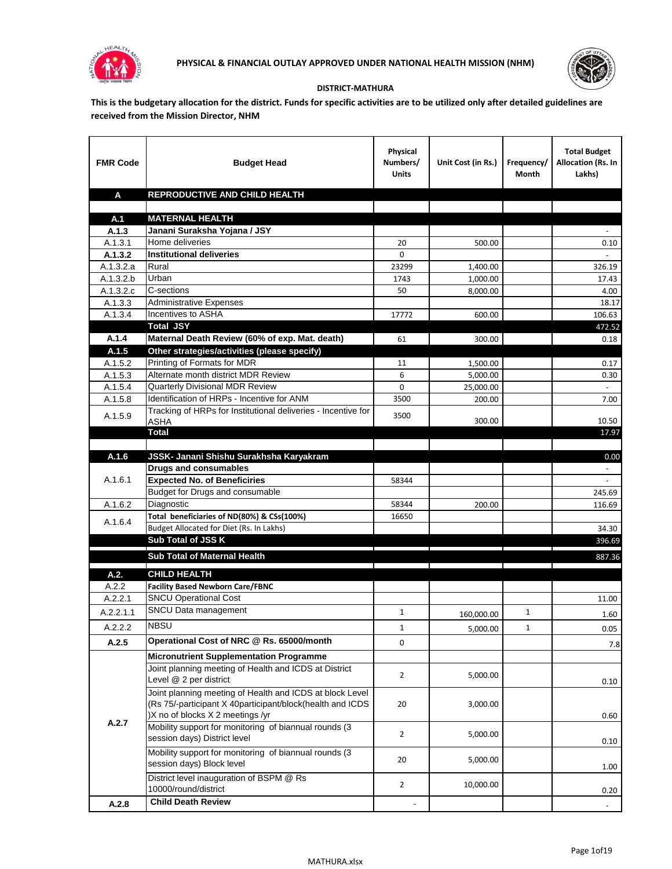



## **DISTRICT-MATHURA**

**This is the budgetary allocation for the district. Funds for specific activities are to be utilized only after detailed guidelines are received from the Mission Director, NHM**

| <b>FMR Code</b>        | <b>Budget Head</b>                                                                                                                                        | Physical<br>Numbers/<br><b>Units</b> | Unit Cost (in Rs.)                                               | Frequency/<br>Month | <b>Total Budget</b><br><b>Allocation (Rs. In</b><br>Lakhs) |
|------------------------|-----------------------------------------------------------------------------------------------------------------------------------------------------------|--------------------------------------|------------------------------------------------------------------|---------------------|------------------------------------------------------------|
| A                      | REPRODUCTIVE AND CHILD HEALTH                                                                                                                             |                                      |                                                                  |                     |                                                            |
|                        |                                                                                                                                                           |                                      |                                                                  |                     |                                                            |
| A.1                    | <b>MATERNAL HEALTH</b>                                                                                                                                    |                                      |                                                                  |                     |                                                            |
| A.1.3                  | Janani Suraksha Yojana / JSY                                                                                                                              |                                      |                                                                  |                     |                                                            |
| A.1.3.1                | Home deliveries                                                                                                                                           | 20                                   | 500.00                                                           |                     | $0.10\,$                                                   |
| A.1.3.2                | <b>Institutional deliveries</b>                                                                                                                           | 0                                    |                                                                  |                     |                                                            |
| A.1.3.2.a              | Rural                                                                                                                                                     | 23299                                | 1,400.00                                                         |                     | 326.19                                                     |
| $\overline{A.1.3.2.b}$ | Urban                                                                                                                                                     | 1743                                 | 1,000.00                                                         |                     | 17.43                                                      |
| A.1.3.2.c              | C-sections                                                                                                                                                | 50                                   | 8,000.00                                                         |                     | 4.00                                                       |
| A.1.3.3                | <b>Administrative Expenses</b><br>Incentives to ASHA                                                                                                      |                                      |                                                                  |                     | 18.17                                                      |
| A.1.3.4                | <b>Total JSY</b>                                                                                                                                          | 17772                                | 600.00                                                           |                     | 106.63                                                     |
| A.1.4                  | Maternal Death Review (60% of exp. Mat. death)                                                                                                            |                                      | 300.00                                                           |                     | 472.52                                                     |
| A.1.5                  | Other strategies/activities (please specify)                                                                                                              | 61                                   |                                                                  |                     | 0.18                                                       |
| A.1.5.2                | Printing of Formats for MDR                                                                                                                               | 11                                   | 1,500.00                                                         |                     | 0.17                                                       |
| A.1.5.3                | Alternate month district MDR Review                                                                                                                       | 6                                    | 5,000.00                                                         |                     | 0.30                                                       |
| A.1.5.4                | Quarterly Divisional MDR Review                                                                                                                           | 0                                    | 25,000.00                                                        |                     |                                                            |
| A.1.5.8                | Identification of HRPs - Incentive for ANM                                                                                                                | 3500                                 | 200.00                                                           |                     | 7.00                                                       |
|                        | Tracking of HRPs for Institutional deliveries - Incentive for                                                                                             |                                      |                                                                  |                     |                                                            |
| A.1.5.9                | <b>ASHA</b>                                                                                                                                               | 3500                                 | 300.00                                                           |                     | 10.50                                                      |
|                        | Total                                                                                                                                                     |                                      |                                                                  |                     | 17.97                                                      |
|                        |                                                                                                                                                           |                                      |                                                                  |                     |                                                            |
| A.1.6                  | JSSK- Janani Shishu Surakhsha Karyakram                                                                                                                   |                                      |                                                                  |                     | 0.00                                                       |
|                        | <b>Drugs and consumables</b>                                                                                                                              |                                      |                                                                  |                     |                                                            |
| A.1.6.1                | <b>Expected No. of Beneficiries</b>                                                                                                                       | 58344                                |                                                                  |                     | $\omega$                                                   |
|                        | Budget for Drugs and consumable                                                                                                                           |                                      |                                                                  |                     | 245.69                                                     |
| A.1.6.2                | Diagnostic                                                                                                                                                | 58344                                | 200.00                                                           |                     | 116.69                                                     |
| A.1.6.4                | Total beneficiaries of ND(80%) & CSs(100%)                                                                                                                | 16650                                |                                                                  |                     |                                                            |
|                        | Budget Allocated for Diet (Rs. In Lakhs)                                                                                                                  |                                      |                                                                  |                     | 34.30                                                      |
|                        | Sub Total of JSS K                                                                                                                                        |                                      |                                                                  |                     | 396.69                                                     |
|                        | Sub Total of Maternal Health                                                                                                                              |                                      |                                                                  |                     | 887.36                                                     |
| A.2.                   | <b>CHILD HEALTH</b>                                                                                                                                       |                                      | <u> 1989 - Johann Stein, mars an t-Amerikaansk kommunister (</u> |                     |                                                            |
| A.2.2                  | <b>Facility Based Newborn Care/FBNC</b>                                                                                                                   |                                      |                                                                  |                     |                                                            |
| A.2.2.1                | <b>SNCU Operational Cost</b>                                                                                                                              |                                      |                                                                  |                     | 11.00                                                      |
| A.2.2.1.1              | SNCU Data management                                                                                                                                      | $\mathbf{1}$                         | 160,000.00                                                       | 1                   | 1.60                                                       |
| A.2.2.2                | <b>NBSU</b>                                                                                                                                               | 1                                    |                                                                  | 1                   |                                                            |
|                        | Operational Cost of NRC @ Rs. 65000/month                                                                                                                 |                                      | 5,000.00                                                         |                     | 0.05                                                       |
| A.2.5                  |                                                                                                                                                           | 0                                    |                                                                  |                     | 7.8                                                        |
|                        | <b>Micronutrient Supplementation Programme</b>                                                                                                            |                                      |                                                                  |                     |                                                            |
|                        | Joint planning meeting of Health and ICDS at District<br>Level @ 2 per district                                                                           | $\overline{2}$                       | 5,000.00                                                         |                     | 0.10                                                       |
|                        | Joint planning meeting of Health and ICDS at block Level<br>(Rs 75/-participant X 40participant/block(health and ICDS<br>)X no of blocks X 2 meetings /yr | 20                                   | 3,000.00                                                         |                     | 0.60                                                       |
| A.2.7                  | Mobility support for monitoring of biannual rounds (3<br>session days) District level                                                                     | $\overline{2}$                       | 5,000.00                                                         |                     | 0.10                                                       |
|                        | Mobility support for monitoring of biannual rounds (3<br>session days) Block level                                                                        | 20                                   | 5,000.00                                                         |                     | 1.00                                                       |
|                        | District level inauguration of BSPM @ Rs<br>10000/round/district                                                                                          | $\overline{2}$                       | 10,000.00                                                        |                     | 0.20                                                       |
| A.2.8                  | <b>Child Death Review</b>                                                                                                                                 |                                      |                                                                  |                     | $\overline{\phantom{a}}$                                   |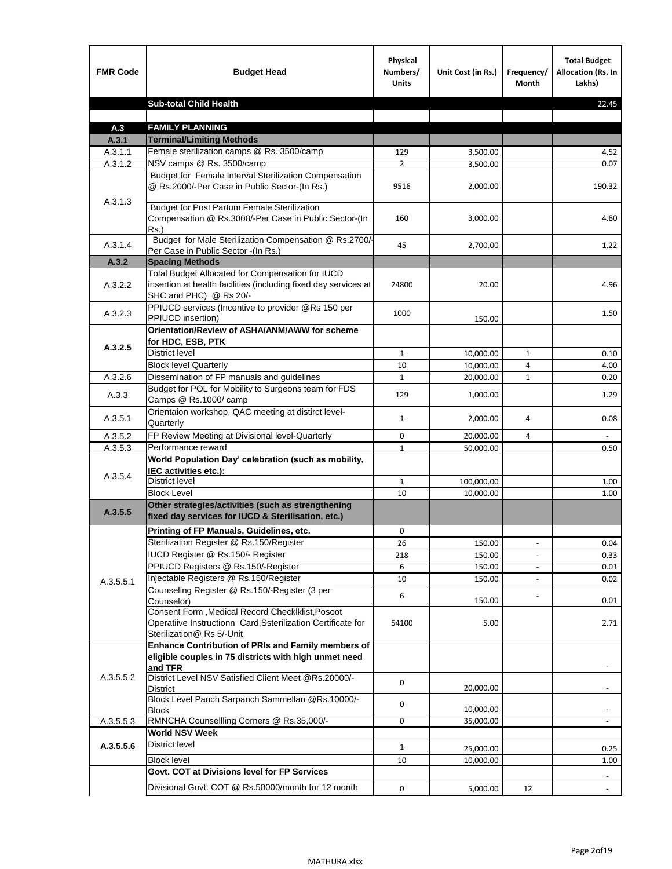| <b>FMR Code</b> | <b>Budget Head</b>                                                                                                                             | Physical<br>Numbers/<br><b>Units</b> | Unit Cost (in Rs.) | Frequency/<br><b>Month</b> | <b>Total Budget</b><br>Allocation (Rs. In<br>Lakhs) |
|-----------------|------------------------------------------------------------------------------------------------------------------------------------------------|--------------------------------------|--------------------|----------------------------|-----------------------------------------------------|
|                 | <b>Sub-total Child Health</b>                                                                                                                  |                                      |                    |                            | 22.45                                               |
|                 |                                                                                                                                                |                                      |                    |                            |                                                     |
| A.3             | <b>FAMILY PLANNING</b>                                                                                                                         |                                      |                    |                            |                                                     |
| A.3.1           | <b>Terminal/Limiting Methods</b>                                                                                                               |                                      |                    |                            |                                                     |
| A.3.1.1         | Female sterilization camps @ Rs. 3500/camp                                                                                                     | 129                                  | 3,500.00           |                            | 4.52                                                |
| A.3.1.2         | NSV camps @ Rs. 3500/camp<br>Budget for Female Interval Sterilization Compensation                                                             | $\overline{2}$                       | 3,500.00           |                            | 0.07                                                |
| A.3.1.3         | @ Rs.2000/-Per Case in Public Sector-(In Rs.)                                                                                                  | 9516                                 | 2,000.00           |                            | 190.32                                              |
|                 | <b>Budget for Post Partum Female Sterilization</b><br>Compensation @ Rs.3000/-Per Case in Public Sector-(In<br>$Rs.$ )                         | 160                                  | 3,000.00           |                            | 4.80                                                |
| A.3.1.4         | Budget for Male Sterilization Compensation @ Rs.2700/-<br>Per Case in Public Sector -(In Rs.)                                                  | 45                                   | 2,700.00           |                            | 1.22                                                |
| A.3.2           | <b>Spacing Methods</b>                                                                                                                         |                                      |                    |                            |                                                     |
| A.3.2.2         | Total Budget Allocated for Compensation for IUCD<br>insertion at health facilities (including fixed day services at<br>SHC and PHC) @ Rs 20/-  | 24800                                | 20.00              |                            | 4.96                                                |
| A.3.2.3         | PPIUCD services (Incentive to provider @Rs 150 per<br>PPIUCD insertion)                                                                        | 1000                                 | 150.00             |                            | 1.50                                                |
| A.3.2.5         | Orientation/Review of ASHA/ANM/AWW for scheme<br>for HDC, ESB, PTK                                                                             |                                      |                    |                            |                                                     |
|                 | <b>District level</b>                                                                                                                          | $\mathbf{1}$                         | 10,000.00          | $\mathbf{1}$               | 0.10                                                |
|                 | <b>Block level Quarterly</b>                                                                                                                   | 10                                   | 10,000.00          | 4                          | 4.00                                                |
| A.3.2.6         | Dissemination of FP manuals and guidelines                                                                                                     | $\mathbf{1}$                         | 20,000.00          | $\mathbf{1}$               | 0.20                                                |
| A.3.3           | Budget for POL for Mobility to Surgeons team for FDS<br>Camps @ Rs.1000/ camp                                                                  | 129                                  | 1,000.00           |                            | 1.29                                                |
| A.3.5.1         | Orientaion workshop, QAC meeting at distirct level-<br>Quarterly                                                                               | $\mathbf{1}$                         | 2,000.00           | 4                          | 0.08                                                |
| A.3.5.2         | FP Review Meeting at Divisional level-Quarterly                                                                                                | 0                                    | 20,000.00          | 4                          |                                                     |
| A.3.5.3         | Performance reward                                                                                                                             | $\mathbf{1}$                         | 50,000.00          |                            | 0.50                                                |
| A.3.5.4         | World Population Day' celebration (such as mobility,<br>IEC activities etc.):                                                                  |                                      |                    |                            |                                                     |
|                 | District level                                                                                                                                 | $\mathbf{1}$                         | 100,000.00         |                            | 1.00                                                |
|                 | <b>Block Level</b>                                                                                                                             | 10                                   | 10,000.00          |                            | 1.00                                                |
| A.3.5.5         | Other strategies/activities (such as strengthening<br>fixed day services for IUCD & Sterilisation, etc.)                                       |                                      |                    |                            |                                                     |
|                 | Printing of FP Manuals, Guidelines, etc.                                                                                                       | 0                                    |                    |                            |                                                     |
|                 | Sterilization Register @ Rs.150/Register                                                                                                       | 26                                   | 150.00             |                            | 0.04                                                |
|                 | IUCD Register @ Rs.150/- Register                                                                                                              | 218                                  | 150.00             |                            | 0.33                                                |
|                 | PPIUCD Registers @ Rs.150/-Register                                                                                                            | 6                                    | 150.00             |                            | 0.01                                                |
| A.3.5.5.1       | Injectable Registers @ Rs.150/Register                                                                                                         | 10                                   | 150.00             |                            | 0.02                                                |
|                 | Counseling Register @ Rs.150/-Register (3 per<br>Counselor)                                                                                    | 6                                    | 150.00             |                            | 0.01                                                |
|                 | Consent Form , Medical Record CheckIklist, Posoot<br>Operatiive Instructionn Card, Ssterilization Certificate for<br>Sterilization@ Rs 5/-Unit | 54100                                | 5.00               |                            | 2.71                                                |
|                 | Enhance Contribution of PRIs and Family members of<br>eligible couples in 75 districts with high unmet need<br>and TFR                         |                                      |                    |                            |                                                     |
| A.3.5.5.2       | District Level NSV Satisfied Client Meet @Rs.20000/-<br>District                                                                               | 0                                    | 20,000.00          |                            |                                                     |
|                 | Block Level Panch Sarpanch Sammellan @Rs.10000/-<br><b>Block</b>                                                                               | 0                                    | 10,000.00          |                            |                                                     |
| A.3.5.5.3       | RMNCHA Counsellling Corners @ Rs.35,000/-                                                                                                      | 0                                    | 35,000.00          |                            |                                                     |
|                 | <b>World NSV Week</b>                                                                                                                          |                                      |                    |                            |                                                     |
| A.3.5.5.6       | <b>District level</b>                                                                                                                          | $\mathbf{1}$                         | 25,000.00          |                            | 0.25                                                |
|                 | <b>Block level</b>                                                                                                                             | 10                                   | 10,000.00          |                            | 1.00                                                |
|                 | Govt. COT at Divisions level for FP Services                                                                                                   |                                      |                    |                            |                                                     |
|                 | Divisional Govt. COT @ Rs.50000/month for 12 month                                                                                             | 0                                    | 5,000.00           | 12                         | $\blacksquare$                                      |
|                 |                                                                                                                                                |                                      |                    |                            |                                                     |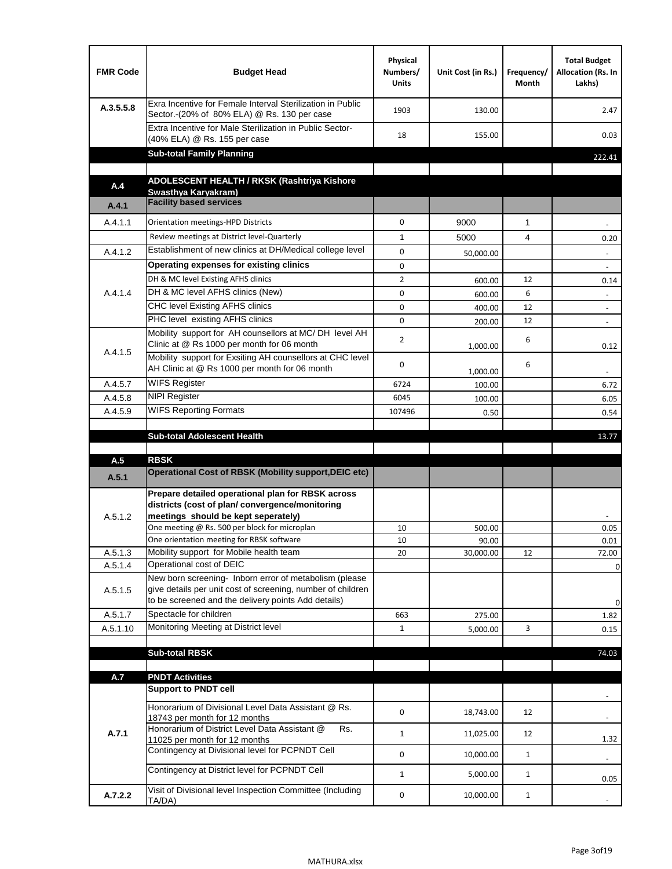| <b>FMR Code</b>    | <b>Budget Head</b>                                                                                                                                                                          | Physical<br>Numbers/<br><b>Units</b> | Unit Cost (in Rs.) | Frequency/<br>Month | <b>Total Budget</b><br>Allocation (Rs. In<br>Lakhs) |
|--------------------|---------------------------------------------------------------------------------------------------------------------------------------------------------------------------------------------|--------------------------------------|--------------------|---------------------|-----------------------------------------------------|
| A.3.5.5.8          | Exra Incentive for Female Interval Sterilization in Public<br>Sector.-(20% of 80% ELA) @ Rs. 130 per case                                                                                   | 1903                                 | 130.00             |                     | 2.47                                                |
|                    | Extra Incentive for Male Sterilization in Public Sector-<br>(40% ELA) @ Rs. 155 per case                                                                                                    | 18                                   | 155.00             |                     | 0.03                                                |
|                    | <b>Sub-total Family Planning</b>                                                                                                                                                            |                                      |                    |                     | 222.41                                              |
|                    | ADOLESCENT HEALTH / RKSK (Rashtriya Kishore                                                                                                                                                 |                                      |                    |                     |                                                     |
| A.4                | Swasthya Karyakram)                                                                                                                                                                         |                                      |                    |                     |                                                     |
| A.4.1              | <b>Facility based services</b>                                                                                                                                                              |                                      |                    |                     |                                                     |
| A.4.1.1            | Orientation meetings-HPD Districts                                                                                                                                                          | $\Omega$                             | 9000               | $\mathbf{1}$        |                                                     |
|                    | Review meetings at District level-Quarterly                                                                                                                                                 | $\mathbf{1}$                         | 5000               | 4                   | 0.20                                                |
| A.4.1.2            | Establishment of new clinics at DH/Medical college level                                                                                                                                    | $\Omega$                             | 50,000.00          |                     |                                                     |
|                    | Operating expenses for existing clinics                                                                                                                                                     | 0                                    |                    |                     |                                                     |
|                    | DH & MC level Existing AFHS clinics                                                                                                                                                         | $\overline{2}$                       | 600.00             | 12                  | 0.14                                                |
| A.4.1.4            | DH & MC level AFHS clinics (New)                                                                                                                                                            | 0                                    | 600.00             | 6                   | $\overline{\phantom{a}}$                            |
|                    | CHC level Existing AFHS clinics                                                                                                                                                             | 0                                    | 400.00             | 12                  | $\overline{\phantom{a}}$                            |
|                    | PHC level existing AFHS clinics                                                                                                                                                             | $\Omega$                             | 200.00             | 12                  | $\sim$                                              |
| A.4.1.5            | Mobility support for AH counsellors at MC/DH level AH<br>Clinic at @ Rs 1000 per month for 06 month                                                                                         | 2                                    | 1,000.00           | 6                   | 0.12                                                |
|                    | Mobility support for Exsiting AH counsellors at CHC level<br>AH Clinic at @ Rs 1000 per month for 06 month                                                                                  | 0                                    | 1,000.00           | 6                   |                                                     |
| A.4.5.7            | <b>WIFS Register</b>                                                                                                                                                                        | 6724                                 | 100.00             |                     | 6.72                                                |
| A.4.5.8            | <b>NIPI Register</b>                                                                                                                                                                        | 6045                                 | 100.00             |                     | 6.05                                                |
| A.4.5.9            | <b>WIFS Reporting Formats</b>                                                                                                                                                               | 107496                               | 0.50               |                     | 0.54                                                |
|                    | <b>Sub-total Adolescent Health</b>                                                                                                                                                          |                                      |                    |                     | 13.77                                               |
| A.5                | <b>RBSK</b>                                                                                                                                                                                 |                                      |                    |                     |                                                     |
| A.5.1              | <b>Operational Cost of RBSK (Mobility support, DEIC etc)</b>                                                                                                                                |                                      |                    |                     |                                                     |
| A.5.1.2            | Prepare detailed operational plan for RBSK across<br>districts (cost of plan/convergence/monitoring<br>meetings should be kept seperately)<br>One meeting @ Rs. 500 per block for microplan | 10                                   | 500.00             |                     | 0.05                                                |
|                    | One orientation meeting for RBSK software<br>Mobility support for Mobile health team                                                                                                        | 10                                   | 90.00              |                     | 0.01                                                |
| A.5.1.3<br>A.5.1.4 | Operational cost of DEIC                                                                                                                                                                    | 20                                   | 30,000.00          | 12                  | 72.00                                               |
| A.5.1.5            | New born screening- Inborn error of metabolism (please<br>give details per unit cost of screening, number of children<br>to be screened and the delivery points Add details)                |                                      |                    |                     | 0<br>0                                              |
| A.5.1.7            | Spectacle for children                                                                                                                                                                      | 663                                  | 275.00             |                     | 1.82                                                |
| A.5.1.10           | Monitoring Meeting at District level                                                                                                                                                        | $\mathbf{1}$                         | 5,000.00           | 3                   | 0.15                                                |
|                    |                                                                                                                                                                                             |                                      |                    |                     |                                                     |
|                    | <b>Sub-total RBSK</b>                                                                                                                                                                       |                                      |                    |                     | 74.03                                               |
| A.7                | <b>PNDT Activities</b>                                                                                                                                                                      |                                      |                    |                     |                                                     |
|                    | <b>Support to PNDT cell</b>                                                                                                                                                                 |                                      |                    |                     |                                                     |
|                    | Honorarium of Divisional Level Data Assistant @ Rs.<br>18743 per month for 12 months                                                                                                        | 0                                    | 18,743.00          | 12                  |                                                     |
| A.7.1              | Honorarium of District Level Data Assistant @<br>Rs.<br>11025 per month for 12 months                                                                                                       | $\mathbf{1}$                         | 11,025.00          | 12                  | 1.32                                                |
|                    | Contingency at Divisional level for PCPNDT Cell                                                                                                                                             | 0                                    | 10,000.00          | $\mathbf{1}$        | $\overline{\phantom{a}}$                            |
|                    | Contingency at District level for PCPNDT Cell                                                                                                                                               | $\mathbf{1}$                         | 5,000.00           | $\mathbf{1}$        | 0.05                                                |
| A.7.2.2            | Visit of Divisional level Inspection Committee (Including<br>TA/DA)                                                                                                                         | 0                                    | 10,000.00          | $\mathbf{1}$        |                                                     |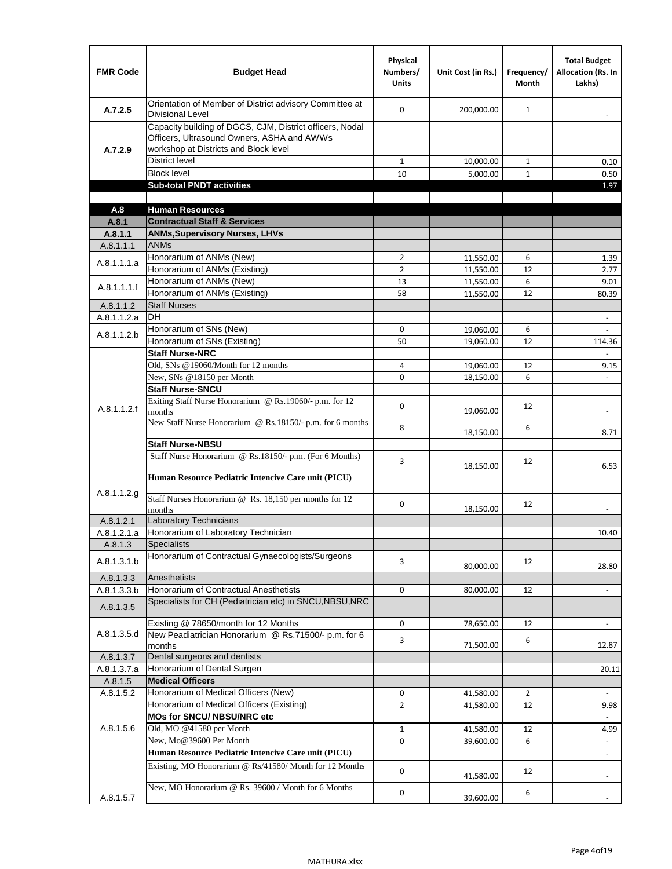| <b>FMR Code</b>      | <b>Budget Head</b>                                                                                                                              | Physical<br>Numbers/<br><b>Units</b> | Unit Cost (in Rs.)     | Frequency/<br><b>Month</b> | <b>Total Budget</b><br><b>Allocation (Rs. In</b><br>Lakhs) |
|----------------------|-------------------------------------------------------------------------------------------------------------------------------------------------|--------------------------------------|------------------------|----------------------------|------------------------------------------------------------|
| A.7.2.5              | Orientation of Member of District advisory Committee at<br><b>Divisional Level</b>                                                              | $\Omega$                             | 200,000.00             | $\mathbf{1}$               | $\overline{\phantom{m}}$                                   |
| A.7.2.9              | Capacity building of DGCS, CJM, District officers, Nodal<br>Officers, Ultrasound Owners, ASHA and AWWs<br>workshop at Districts and Block level |                                      |                        |                            |                                                            |
|                      | <b>District level</b>                                                                                                                           | $\mathbf{1}$                         | 10,000.00              | $\mathbf{1}$               | 0.10                                                       |
|                      | <b>Block level</b>                                                                                                                              | 10                                   | 5,000.00               | $\mathbf{1}$               | 0.50                                                       |
|                      | <b>Sub-total PNDT activities</b>                                                                                                                |                                      |                        |                            | 1.97                                                       |
|                      |                                                                                                                                                 |                                      |                        |                            |                                                            |
| A.8                  | <b>Human Resources</b>                                                                                                                          |                                      |                        |                            |                                                            |
| A.8.1                | <b>Contractual Staff &amp; Services</b>                                                                                                         |                                      |                        |                            |                                                            |
| A.8.1.1<br>A.8.1.1.1 | <b>ANMs, Supervisory Nurses, LHVs</b><br><b>ANMs</b>                                                                                            |                                      |                        |                            |                                                            |
|                      | Honorarium of ANMs (New)                                                                                                                        | $\overline{2}$                       |                        | 6                          |                                                            |
| A.8.1.1.1.a          | Honorarium of ANMs (Existing)                                                                                                                   | $\overline{2}$                       | 11,550.00<br>11,550.00 | 12                         | 1.39<br>2.77                                               |
|                      | Honorarium of ANMs (New)                                                                                                                        | 13                                   | 11,550.00              | 6                          | 9.01                                                       |
| A.8.1.1.1.f          | Honorarium of ANMs (Existing)                                                                                                                   | 58                                   | 11,550.00              | 12                         | 80.39                                                      |
| A.8.1.1.2            | <b>Staff Nurses</b>                                                                                                                             |                                      |                        |                            |                                                            |
| A.8.1.1.2.a          | <b>DH</b>                                                                                                                                       |                                      |                        |                            | $\blacksquare$                                             |
|                      | Honorarium of SNs (New)                                                                                                                         | 0                                    | 19,060.00              | 6                          |                                                            |
| A.8.1.1.2.b          | Honorarium of SNs (Existing)                                                                                                                    | 50                                   | 19.060.00              | 12                         | 114.36                                                     |
|                      | <b>Staff Nurse-NRC</b>                                                                                                                          |                                      |                        |                            | ä,                                                         |
|                      | Old, SNs @19060/Month for 12 months                                                                                                             | 4                                    | 19,060.00              | 12                         | 9.15                                                       |
|                      | New, SNs @18150 per Month                                                                                                                       | 0                                    | 18,150.00              | 6                          |                                                            |
|                      | <b>Staff Nurse-SNCU</b>                                                                                                                         |                                      |                        |                            |                                                            |
| A.8.1.1.2.f          | Exiting Staff Nurse Honorarium @ Rs.19060/- p.m. for 12<br>months                                                                               | $\Omega$                             | 19,060.00              | 12                         | -                                                          |
|                      | New Staff Nurse Honorarium @ Rs.18150/- p.m. for 6 months                                                                                       | 8                                    | 18,150.00              | 6                          | 8.71                                                       |
|                      | <b>Staff Nurse-NBSU</b>                                                                                                                         |                                      |                        |                            |                                                            |
|                      | Staff Nurse Honorarium @ Rs.18150/- p.m. (For 6 Months)                                                                                         | 3                                    | 18,150.00              | 12                         | 6.53                                                       |
|                      | Human Resource Pediatric Intencive Care unit (PICU)                                                                                             |                                      |                        |                            |                                                            |
| A.8.1.1.2.g          | Staff Nurses Honorarium @ Rs. 18,150 per months for 12<br>months                                                                                | 0                                    | 18,150.00              | 12                         |                                                            |
| A.8.1.2.1            | <b>Laboratory Technicians</b>                                                                                                                   |                                      |                        |                            |                                                            |
| A.8.1.2.1.a          | Honorarium of Laboratory Technician                                                                                                             |                                      |                        |                            | 10.40                                                      |
| A.8.1.3              | <b>Specialists</b>                                                                                                                              |                                      |                        |                            |                                                            |
| A.8.1.3.1.b          | Honorarium of Contractual Gynaecologists/Surgeons                                                                                               | 3                                    | 80,000.00              | 12                         | 28.80                                                      |
| A.8.1.3.3            | Anesthetists                                                                                                                                    |                                      |                        |                            |                                                            |
| A.8.1.3.3.b          | Honorarium of Contractual Anesthetists                                                                                                          | 0                                    | 80,000.00              | 12                         | $\blacksquare$                                             |
| A.8.1.3.5            | Specialists for CH (Pediatrician etc) in SNCU, NBSU, NRC                                                                                        |                                      |                        |                            |                                                            |
|                      | Existing @ 78650/month for 12 Months                                                                                                            | 0                                    | 78,650.00              | 12                         | $\blacksquare$                                             |
| A.8.1.3.5.d          | New Peadiatrician Honorarium @ Rs.71500/- p.m. for 6<br>months                                                                                  | 3                                    | 71,500.00              | 6                          | 12.87                                                      |
| A.8.1.3.7            | Dental surgeons and dentists                                                                                                                    |                                      |                        |                            |                                                            |
| A.8.1.3.7.a          | Honorarium of Dental Surgen                                                                                                                     |                                      |                        |                            | 20.11                                                      |
| A.8.1.5              | <b>Medical Officers</b>                                                                                                                         |                                      |                        |                            |                                                            |
| A.8.1.5.2            | Honorarium of Medical Officers (New)                                                                                                            | 0                                    | 41,580.00              | $\overline{2}$             | $\blacksquare$                                             |
|                      | Honorarium of Medical Officers (Existing)                                                                                                       | $\overline{2}$                       | 41,580.00              | 12                         | 9.98                                                       |
|                      | MOs for SNCU/ NBSU/NRC etc                                                                                                                      |                                      |                        |                            |                                                            |
| A.8.1.5.6            | Old, MO @41580 per Month                                                                                                                        | $\mathbf{1}$                         | 41,580.00              | 12                         | 4.99                                                       |
|                      | New, Mo@39600 Per Month                                                                                                                         | 0                                    | 39,600.00              | 6                          | $\blacksquare$                                             |
|                      | Human Resource Pediatric Intencive Care unit (PICU)                                                                                             |                                      |                        |                            | ä,                                                         |
|                      | Existing, MO Honorarium @ Rs/41580/ Month for 12 Months                                                                                         | $\mathbf 0$                          | 41,580.00              | 12                         |                                                            |
| A.8.1.5.7            | New, MO Honorarium @ Rs. 39600 / Month for 6 Months                                                                                             | 0                                    | 39,600.00              | 6                          |                                                            |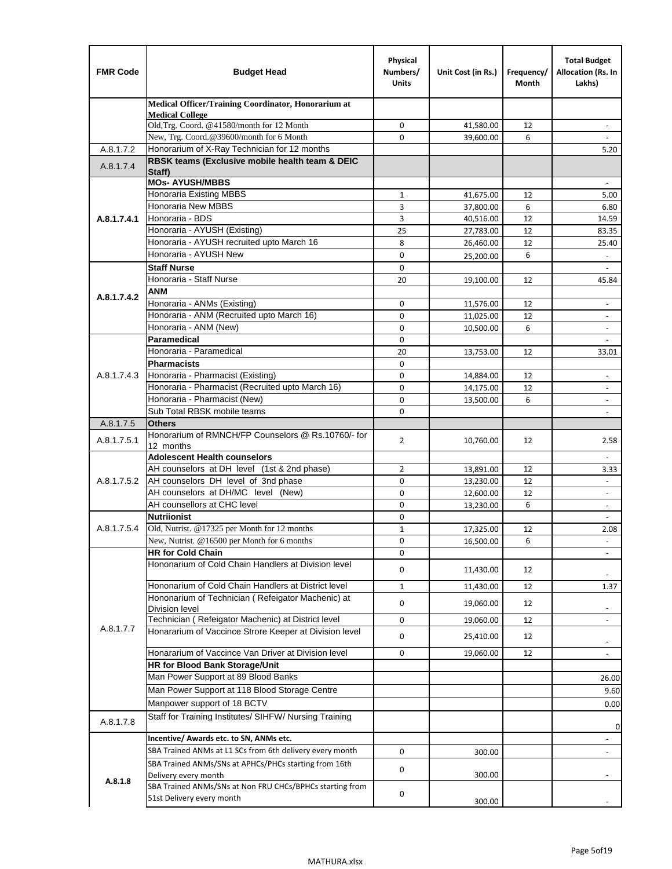| <b>FMR Code</b> | <b>Budget Head</b>                                                                 | Physical<br>Numbers/<br><b>Units</b> | Unit Cost (in Rs.)     | Frequency/<br>Month | <b>Total Budget</b><br>Allocation (Rs. In<br>Lakhs)  |
|-----------------|------------------------------------------------------------------------------------|--------------------------------------|------------------------|---------------------|------------------------------------------------------|
|                 | Medical Officer/Training Coordinator, Honorarium at                                |                                      |                        |                     |                                                      |
|                 | <b>Medical College</b><br>Old, Trg. Coord. @41580/month for 12 Month               | 0                                    | 41,580.00              | 12                  |                                                      |
|                 | New, Trg. Coord.@39600/month for 6 Month                                           | $\Omega$                             | 39,600.00              | 6                   |                                                      |
| A.8.1.7.2       | Honorarium of X-Ray Technician for 12 months                                       |                                      |                        |                     | 5.20                                                 |
| A.8.1.7.4       | RBSK teams (Exclusive mobile health team & DEIC                                    |                                      |                        |                     |                                                      |
|                 | Staff)<br><b>MOs- AYUSH/MBBS</b>                                                   |                                      |                        |                     |                                                      |
|                 | Honoraria Existing MBBS                                                            | $\mathbf{1}$                         | 41,675.00              | 12                  | 5.00                                                 |
|                 | Honoraria New MBBS                                                                 | 3                                    | 37,800.00              | 6                   | 6.80                                                 |
| A.8.1.7.4.1     | Honoraria - BDS                                                                    | 3                                    | 40,516.00              | 12                  | 14.59                                                |
|                 | Honoraria - AYUSH (Existing)                                                       | 25                                   | 27,783.00              | 12                  | 83.35                                                |
|                 | Honoraria - AYUSH recruited upto March 16                                          | 8                                    | 26,460.00              | 12                  | 25.40                                                |
|                 | Honoraria - AYUSH New                                                              | $\mathbf 0$                          | 25,200.00              | 6                   |                                                      |
|                 | <b>Staff Nurse</b>                                                                 | $\mathbf 0$                          |                        |                     | $\omega$                                             |
|                 | Honoraria - Staff Nurse                                                            | 20                                   | 19,100.00              | 12                  | 45.84                                                |
| A.8.1.7.4.2     | ANM                                                                                |                                      |                        |                     |                                                      |
|                 | Honoraria - ANMs (Existing)                                                        | $\mathbf 0$                          | 11,576.00              | 12                  | $\overline{\phantom{a}}$                             |
|                 | Honoraria - ANM (Recruited upto March 16)                                          | 0                                    | 11,025.00              | 12                  | $\blacksquare$                                       |
|                 | Honoraria - ANM (New)                                                              | $\mathbf 0$                          | 10,500.00              | 6                   |                                                      |
|                 | <b>Paramedical</b>                                                                 | $\mathbf 0$                          |                        |                     | $\blacksquare$                                       |
|                 | Honoraria - Paramedical<br><b>Pharmacists</b>                                      | 20<br>$\mathbf 0$                    | 13,753.00              | 12                  | 33.01                                                |
| A.8.1.7.4.3     | Honoraria - Pharmacist (Existing)                                                  | 0                                    |                        | 12                  |                                                      |
|                 | Honoraria - Pharmacist (Recruited upto March 16)                                   | $\mathbf 0$                          | 14,884.00<br>14,175.00 | 12                  | $\overline{\phantom{a}}$<br>$\blacksquare$           |
|                 | Honoraria - Pharmacist (New)                                                       | $\mathbf 0$                          | 13,500.00              | 6                   | ÷,                                                   |
|                 | Sub Total RBSK mobile teams                                                        | $\Omega$                             |                        |                     | $\overline{\phantom{a}}$                             |
| A.8.1.7.5       | <b>Others</b>                                                                      |                                      |                        |                     |                                                      |
| A.8.1.7.5.1     | Honorarium of RMNCH/FP Counselors @ Rs.10760/- for                                 | $\overline{2}$                       | 10,760.00              | 12                  | 2.58                                                 |
|                 | 12 months                                                                          |                                      |                        |                     |                                                      |
|                 | <b>Adolescent Health counselors</b>                                                |                                      |                        |                     | $\blacksquare$                                       |
| A.8.1.7.5.2     | AH counselors at DH level (1st & 2nd phase)<br>AH counselors DH level of 3nd phase | 2<br>$\mathbf 0$                     | 13,891.00              | 12<br>12            | 3.33                                                 |
|                 | AH counselors at DH/MC level (New)                                                 | 0                                    | 13,230.00<br>12,600.00 | 12                  | $\overline{\phantom{a}}$<br>$\overline{\phantom{a}}$ |
|                 | AH counsellors at CHC level                                                        | $\mathbf 0$                          | 13,230.00              | 6                   | $\omega$                                             |
|                 | <b>Nutriionist</b>                                                                 | $\mathbf 0$                          |                        |                     | $\overline{\phantom{a}}$                             |
| A.8.1.7.5.4     | Old, Nutrist. @17325 per Month for 12 months                                       | $\mathbf{1}$                         | 17,325.00              | 12                  | 2.08                                                 |
|                 | New, Nutrist. @16500 per Month for 6 months                                        | 0                                    | 16,500.00              | 6                   |                                                      |
|                 | <b>HR for Cold Chain</b>                                                           | 0                                    |                        |                     |                                                      |
|                 | Hononarium of Cold Chain Handlers at Division level                                | 0                                    | 11,430.00              | 12                  |                                                      |
|                 | Hononarium of Cold Chain Handlers at District level                                | 1                                    | 11,430.00              | 12                  | 1.37                                                 |
|                 | Hononarium of Technician (Refeigator Machenic) at                                  |                                      |                        |                     |                                                      |
|                 | <b>Division level</b>                                                              | 0                                    | 19,060.00              | 12                  |                                                      |
|                 | Technician (Refeigator Machenic) at District level                                 | 0                                    | 19,060.00              | 12                  | $\overline{\phantom{a}}$                             |
| A.8.1.7.7       | Honararium of Vaccince Strore Keeper at Division level                             | 0                                    | 25,410.00              | 12                  | $\overline{\phantom{a}}$                             |
|                 | Honararium of Vaccince Van Driver at Division level                                | 0                                    | 19,060.00              | 12                  | $\blacksquare$                                       |
|                 | <b>HR for Blood Bank Storage/Unit</b>                                              |                                      |                        |                     |                                                      |
|                 | Man Power Support at 89 Blood Banks                                                |                                      |                        |                     | 26.00                                                |
|                 | Man Power Support at 118 Blood Storage Centre                                      |                                      |                        |                     | 9.60                                                 |
|                 | Manpower support of 18 BCTV                                                        |                                      |                        |                     | 0.00                                                 |
| A.8.1.7.8       | Staff for Training Institutes/ SIHFW/ Nursing Training                             |                                      |                        |                     | 0                                                    |
|                 | Incentive/ Awards etc. to SN, ANMs etc.                                            |                                      |                        |                     |                                                      |
|                 | SBA Trained ANMs at L1 SCs from 6th delivery every month                           | 0                                    | 300.00                 |                     | $\overline{\phantom{a}}$                             |
|                 | SBA Trained ANMs/SNs at APHCs/PHCs starting from 16th                              | 0                                    |                        |                     |                                                      |
| A.8.1.8         | Delivery every month                                                               |                                      | 300.00                 |                     |                                                      |
|                 | SBA Trained ANMs/SNs at Non FRU CHCs/BPHCs starting from                           | 0                                    |                        |                     |                                                      |
|                 | 51st Delivery every month                                                          |                                      | 300.00                 |                     |                                                      |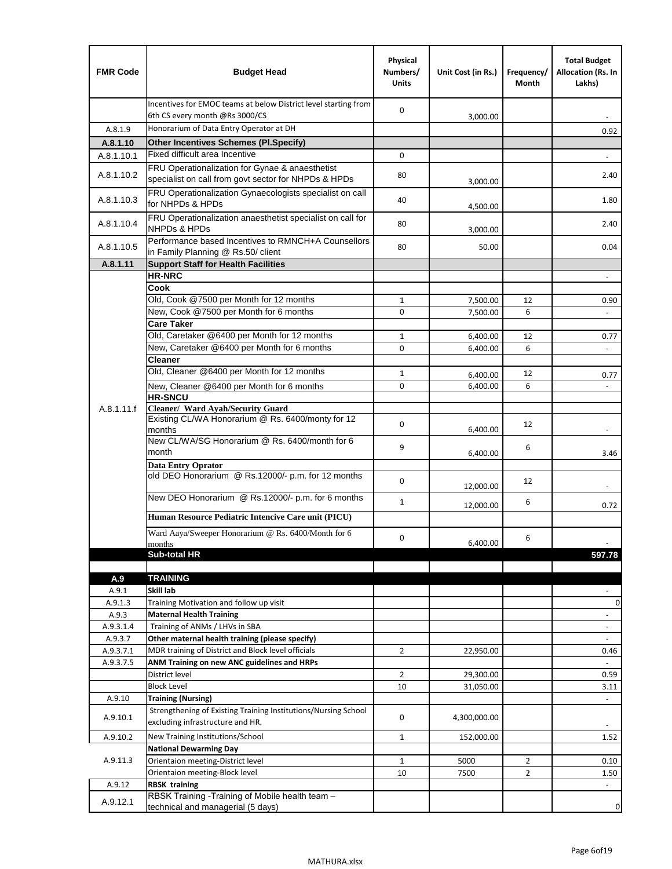| <b>FMR Code</b>  | <b>Budget Head</b>                                                                                      | Physical<br>Numbers/<br><b>Units</b> | Unit Cost (in Rs.) | Frequency/<br>Month | <b>Total Budget</b><br>Allocation (Rs. In<br>Lakhs) |
|------------------|---------------------------------------------------------------------------------------------------------|--------------------------------------|--------------------|---------------------|-----------------------------------------------------|
|                  | Incentives for EMOC teams at below District level starting from<br>6th CS every month @Rs 3000/CS       | $\mathbf 0$                          | 3,000.00           |                     |                                                     |
| A.8.1.9          | Honorarium of Data Entry Operator at DH                                                                 |                                      |                    |                     | 0.92                                                |
| A.8.1.10         | <b>Other Incentives Schemes (PI.Specify)</b>                                                            |                                      |                    |                     |                                                     |
| A.8.1.10.1       | Fixed difficult area Incentive                                                                          | $\mathbf 0$                          |                    |                     |                                                     |
| A.8.1.10.2       | FRU Operationalization for Gynae & anaesthetist<br>specialist on call from govt sector for NHPDs & HPDs | 80                                   | 3,000.00           |                     | 2.40                                                |
| A.8.1.10.3       | FRU Operationalization Gynaecologists specialist on call<br>for NHPDs & HPDs                            | 40                                   | 4,500.00           |                     | 1.80                                                |
| A.8.1.10.4       | FRU Operationalization anaesthetist specialist on call for<br><b>NHPDs &amp; HPDs</b>                   | 80                                   | 3,000.00           |                     | 2.40                                                |
| A.8.1.10.5       | Performance based Incentives to RMNCH+A Counsellors<br>in Family Planning @ Rs.50/ client               | 80                                   | 50.00              |                     | 0.04                                                |
| A.8.1.11         | <b>Support Staff for Health Facilities</b>                                                              |                                      |                    |                     |                                                     |
|                  | <b>HR-NRC</b>                                                                                           |                                      |                    |                     | $\overline{\phantom{m}}$                            |
|                  | Cook                                                                                                    |                                      |                    |                     |                                                     |
|                  | Old, Cook @7500 per Month for 12 months                                                                 | $\mathbf{1}$                         | 7,500.00           | 12                  | 0.90                                                |
|                  | New, Cook @7500 per Month for 6 months                                                                  | 0                                    | 7,500.00           | 6                   | $\Box$                                              |
|                  | <b>Care Taker</b><br>Old, Caretaker @6400 per Month for 12 months                                       | $\mathbf{1}$                         | 6,400.00           | 12                  |                                                     |
|                  | New, Caretaker @6400 per Month for 6 months                                                             | 0                                    | 6,400.00           | 6                   | 0.77<br>÷,                                          |
|                  | <b>Cleaner</b>                                                                                          |                                      |                    |                     |                                                     |
|                  | Old, Cleaner @6400 per Month for 12 months                                                              | $\mathbf{1}$                         | 6,400.00           | 12                  | 0.77                                                |
|                  | New, Cleaner @6400 per Month for 6 months                                                               | $\mathbf 0$                          | 6,400.00           | 6                   |                                                     |
|                  | <b>HR-SNCU</b>                                                                                          |                                      |                    |                     |                                                     |
| A.8.1.11.f       | Cleaner/ Ward Ayah/Security Guard                                                                       |                                      |                    |                     |                                                     |
|                  | Existing CL/WA Honorarium @ Rs. 6400/monty for 12<br>months                                             | $\mathbf 0$                          | 6,400.00           | 12                  |                                                     |
|                  | New CL/WA/SG Honorarium @ Rs. 6400/month for 6<br>month                                                 | 9                                    | 6,400.00           | 6                   | 3.46                                                |
|                  | <b>Data Entry Oprator</b>                                                                               |                                      |                    |                     |                                                     |
|                  | old DEO Honorarium @ Rs.12000/- p.m. for 12 months<br>New DEO Honorarium @ Rs.12000/- p.m. for 6 months | $\mathbf 0$                          | 12,000.00          | 12                  |                                                     |
|                  |                                                                                                         | $\mathbf{1}$                         | 12,000.00          | 6                   | 0.72                                                |
|                  | Human Resource Pediatric Intencive Care unit (PICU)                                                     |                                      |                    |                     |                                                     |
|                  | Ward Aaya/Sweeper Honorarium @ Rs. 6400/Month for 6                                                     |                                      |                    |                     |                                                     |
|                  | months                                                                                                  | $\mathbf 0$                          | 6,400.00           | 6                   |                                                     |
|                  | Sub-total HR                                                                                            |                                      |                    |                     | 597.78                                              |
|                  |                                                                                                         |                                      |                    |                     |                                                     |
| A.9              | <b>TRAINING</b><br>Skill lab                                                                            |                                      |                    |                     |                                                     |
| A.9.1<br>A.9.1.3 | Training Motivation and follow up visit                                                                 |                                      |                    |                     | 0                                                   |
| A.9.3            | <b>Maternal Health Training</b>                                                                         |                                      |                    |                     | $\blacksquare$                                      |
| A.9.3.1.4        | Training of ANMs / LHVs in SBA                                                                          |                                      |                    |                     | $\overline{\phantom{a}}$                            |
| A.9.3.7          | Other maternal health training (please specify)                                                         |                                      |                    |                     |                                                     |
| A.9.3.7.1        | MDR training of District and Block level officials                                                      | $\overline{2}$                       | 22,950.00          |                     | 0.46                                                |
| A.9.3.7.5        | ANM Training on new ANC guidelines and HRPs                                                             |                                      |                    |                     |                                                     |
|                  | District level                                                                                          | $\overline{2}$                       | 29,300.00          |                     | 0.59                                                |
|                  | <b>Block Level</b>                                                                                      | 10                                   | 31,050.00          |                     | 3.11                                                |
| A.9.10           | <b>Training (Nursing)</b>                                                                               |                                      |                    |                     | $\blacksquare$                                      |
| A.9.10.1         | Strengthening of Existing Training Institutions/Nursing School<br>excluding infrastructure and HR.      | 0                                    | 4,300,000.00       |                     |                                                     |
| A.9.10.2         | New Training Institutions/School                                                                        | $\mathbf{1}$                         | 152,000.00         |                     | 1.52                                                |
|                  | <b>National Dewarming Day</b>                                                                           |                                      |                    |                     |                                                     |
| A.9.11.3         | Orientaion meeting-District level                                                                       | 1                                    | 5000               | $\overline{2}$      | 0.10                                                |
|                  | Orientaion meeting-Block level                                                                          | 10                                   | 7500               | $\overline{2}$      | 1.50                                                |
| A.9.12           | <b>RBSK training</b>                                                                                    |                                      |                    |                     |                                                     |
| A.9.12.1         | RBSK Training -Training of Mobile health team -<br>technical and managerial (5 days)                    |                                      |                    |                     | 0                                                   |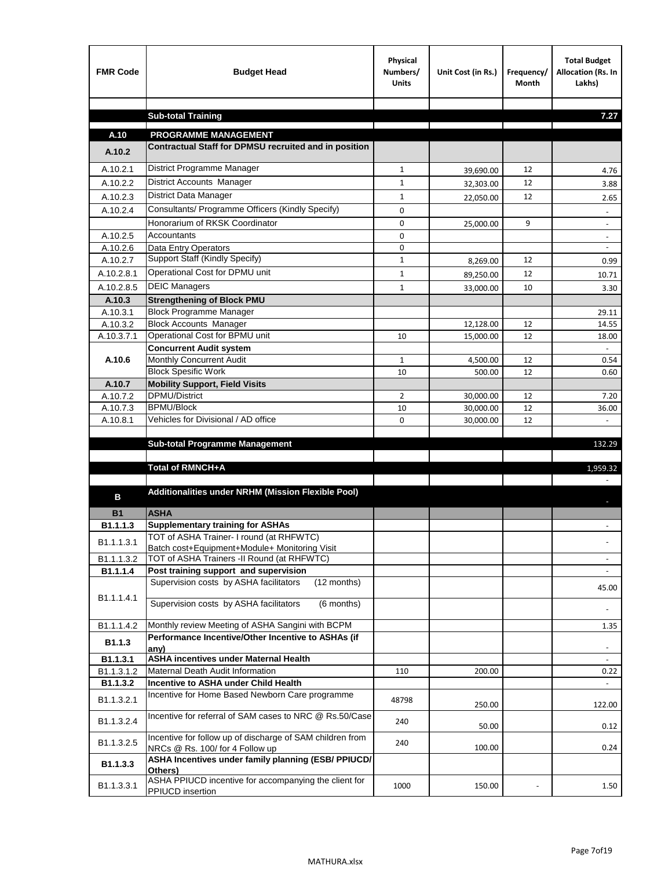| <b>FMR Code</b>    | <b>Budget Head</b>                                                                           | Physical<br>Numbers/<br><b>Units</b> | Unit Cost (in Rs.) | Frequency/<br>Month | <b>Total Budget</b><br>Allocation (Rs. In<br>Lakhs) |
|--------------------|----------------------------------------------------------------------------------------------|--------------------------------------|--------------------|---------------------|-----------------------------------------------------|
|                    |                                                                                              |                                      |                    |                     | 7.27                                                |
|                    | <b>Sub-total Training</b>                                                                    |                                      |                    |                     |                                                     |
| A.10               | <b>PROGRAMME MANAGEMENT</b>                                                                  |                                      |                    |                     |                                                     |
| A.10.2             | Contractual Staff for DPMSU recruited and in position                                        |                                      |                    |                     |                                                     |
| A.10.2.1           | District Programme Manager                                                                   | $\mathbf{1}$                         | 39,690.00          | 12                  | 4.76                                                |
| A.10.2.2           | <b>District Accounts Manager</b>                                                             | $\mathbf{1}$                         | 32,303.00          | 12                  | 3.88                                                |
| A.10.2.3           | District Data Manager                                                                        | $\mathbf{1}$                         | 22,050.00          | 12                  | 2.65                                                |
| A.10.2.4           | Consultants/ Programme Officers (Kindly Specify)                                             | $\mathbf 0$                          |                    |                     |                                                     |
|                    | Honorarium of RKSK Coordinator                                                               | 0                                    | 25,000.00          | 9                   | $\overline{\phantom{a}}$                            |
| A.10.2.5           | Accountants                                                                                  | 0                                    |                    |                     |                                                     |
| A.10.2.6           | Data Entry Operators                                                                         | 0                                    |                    |                     | $\overline{\phantom{a}}$                            |
| A.10.2.7           | Support Staff (Kindly Specify)                                                               | $\mathbf{1}$                         | 8,269.00           | 12                  | 0.99                                                |
| A.10.2.8.1         | Operational Cost for DPMU unit                                                               | $\mathbf{1}$                         | 89,250.00          | 12                  | 10.71                                               |
| A.10.2.8.5         | <b>DEIC Managers</b>                                                                         | $\mathbf{1}$                         | 33,000.00          | 10                  | 3.30                                                |
| A.10.3             | <b>Strengthening of Block PMU</b>                                                            |                                      |                    |                     |                                                     |
| A.10.3.1           | <b>Block Programme Manager</b>                                                               |                                      |                    |                     | 29.11                                               |
| A.10.3.2           | <b>Block Accounts Manager</b>                                                                |                                      | 12,128.00          | 12                  | 14.55                                               |
| A.10.3.7.1         | Operational Cost for BPMU unit<br><b>Concurrent Audit system</b>                             | 10                                   | 15,000.00          | 12                  | 18.00                                               |
| A.10.6             | Monthly Concurrent Audit                                                                     | $\mathbf{1}$                         | 4,500.00           | 12                  | 0.54                                                |
|                    | <b>Block Spesific Work</b>                                                                   | 10                                   | 500.00             | 12                  | 0.60                                                |
| A.10.7             | <b>Mobility Support, Field Visits</b>                                                        |                                      |                    |                     |                                                     |
| A.10.7.2           | <b>DPMU/District</b>                                                                         | 2                                    | 30,000.00          | 12                  | 7.20                                                |
| A.10.7.3           | <b>BPMU/Block</b>                                                                            | 10                                   | 30,000.00          | 12                  | 36.00                                               |
| A.10.8.1           | Vehicles for Divisional / AD office                                                          | 0                                    | 30,000.00          | 12                  | $\mathbf{r}$                                        |
|                    |                                                                                              |                                      |                    |                     |                                                     |
|                    | <b>Sub-total Programme Management</b>                                                        |                                      |                    |                     | 132.29                                              |
|                    | Total of RMNCH+A                                                                             |                                      |                    |                     | 1,959.32                                            |
|                    |                                                                                              |                                      |                    |                     |                                                     |
| в                  | Additionalities under NRHM (Mission Flexible Pool)                                           |                                      |                    |                     |                                                     |
|                    |                                                                                              |                                      |                    |                     |                                                     |
| <b>B1</b>          | <b>ASHA</b><br><b>Supplementary training for ASHAs</b>                                       |                                      |                    |                     |                                                     |
| B1.1.1.3           | TOT of ASHA Trainer- I round (at RHFWTC)                                                     |                                      |                    |                     |                                                     |
| B1.1.1.3.1         | Batch cost+Equipment+Module+ Monitoring Visit                                                |                                      |                    |                     |                                                     |
| B1.1.1.3.2         | TOT of ASHA Trainers -II Round (at RHFWTC)                                                   |                                      |                    |                     |                                                     |
| B1.1.1.4           | Post training support and supervision                                                        |                                      |                    |                     | $\sim$                                              |
|                    | Supervision costs by ASHA facilitators<br>(12 months)                                        |                                      |                    |                     | 45.00                                               |
| B1.1.1.4.1         | Supervision costs by ASHA facilitators<br>(6 months)                                         |                                      |                    |                     |                                                     |
|                    |                                                                                              |                                      |                    |                     |                                                     |
| B1.1.1.4.2         | Monthly review Meeting of ASHA Sangini with BCPM                                             |                                      |                    |                     | 1.35                                                |
| B <sub>1.1.3</sub> | Performance Incentive/Other Incentive to ASHAs (if                                           |                                      |                    |                     |                                                     |
| B1.1.3.1           | any)<br><b>ASHA incentives under Maternal Health</b>                                         |                                      |                    |                     |                                                     |
| B1.1.3.1.2         | Maternal Death Audit Information                                                             | 110                                  | 200.00             |                     | 0.22                                                |
| B1.1.3.2           | Incentive to ASHA under Child Health                                                         |                                      |                    |                     | $\omega$ .                                          |
| B1.1.3.2.1         | Incentive for Home Based Newborn Care programme                                              | 48798                                | 250.00             |                     | 122.00                                              |
| B1.1.3.2.4         | Incentive for referral of SAM cases to NRC @ Rs.50/Case                                      | 240                                  | 50.00              |                     | 0.12                                                |
| B1.1.3.2.5         | Incentive for follow up of discharge of SAM children from<br>NRCs @ Rs. 100/ for 4 Follow up | 240                                  | 100.00             |                     | 0.24                                                |
| B1.1.3.3           | ASHA Incentives under family planning (ESB/ PPIUCD/<br>Others)                               |                                      |                    |                     |                                                     |
| B1.1.3.3.1         | ASHA PPIUCD incentive for accompanying the client for<br>PPIUCD insertion                    | 1000                                 | 150.00             |                     | 1.50                                                |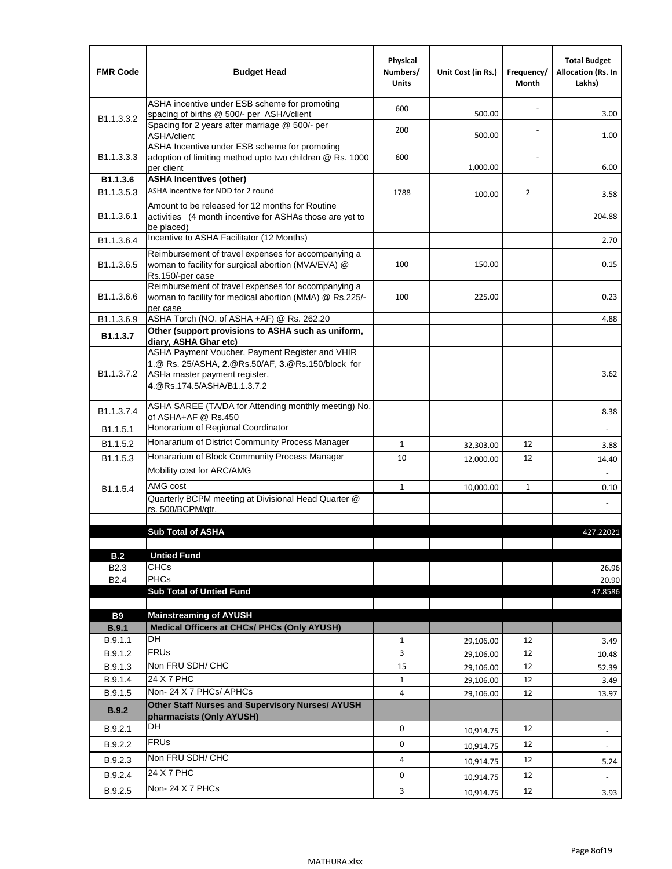| <b>FMR Code</b>            | <b>Budget Head</b>                                                                                                                                                    | Physical<br>Numbers/<br><b>Units</b> | Unit Cost (in Rs.) | Frequency/<br>Month | <b>Total Budget</b><br><b>Allocation (Rs. In</b><br>Lakhs) |
|----------------------------|-----------------------------------------------------------------------------------------------------------------------------------------------------------------------|--------------------------------------|--------------------|---------------------|------------------------------------------------------------|
|                            | ASHA incentive under ESB scheme for promoting<br>spacing of births @ 500/- per ASHA/client                                                                            | 600                                  | 500.00             |                     | 3.00                                                       |
| B <sub>1.1</sub> , 3, 3, 2 | Spacing for 2 years after marriage @ 500/- per<br>ASHA/client                                                                                                         | 200                                  | 500.00             |                     | 1.00                                                       |
| B1.1.3.3.3                 | ASHA Incentive under ESB scheme for promoting<br>adoption of limiting method upto two children @ Rs. 1000<br>per client                                               | 600                                  | 1,000.00           |                     | 6.00                                                       |
| B1.1.3.6                   | <b>ASHA Incentives (other)</b>                                                                                                                                        |                                      |                    |                     |                                                            |
| B <sub>1.1</sub> , 3, 5, 3 | ASHA incentive for NDD for 2 round                                                                                                                                    | 1788                                 | 100.00             | $\overline{2}$      | 3.58                                                       |
| B <sub>1.1</sub> .3.6.1    | Amount to be released for 12 months for Routine<br>activities (4 month incentive for ASHAs those are yet to<br>be placed)                                             |                                      |                    |                     | 204.88                                                     |
| B1.1.3.6.4                 | Incentive to ASHA Facilitator (12 Months)                                                                                                                             |                                      |                    |                     | 2.70                                                       |
| B <sub>1.1</sub> .3.6.5    | Reimbursement of travel expenses for accompanying a<br>woman to facility for surgical abortion (MVA/EVA) @<br>Rs.150/-per case                                        | 100                                  | 150.00             |                     | 0.15                                                       |
| B <sub>1.1</sub> .3.6.6    | Reimbursement of travel expenses for accompanying a<br>woman to facility for medical abortion (MMA) @ Rs.225/-<br>per case                                            | 100                                  | 225.00             |                     | 0.23                                                       |
| B1.1.3.6.9                 | ASHA Torch (NO. of ASHA +AF) @ Rs. 262.20                                                                                                                             |                                      |                    |                     | 4.88                                                       |
| B1.1.3.7                   | Other (support provisions to ASHA such as uniform,<br>diary, ASHA Ghar etc)                                                                                           |                                      |                    |                     |                                                            |
| B <sub>1.1</sub> .3.7.2    | ASHA Payment Voucher, Payment Register and VHIR<br>1.@ Rs. 25/ASHA, 2.@Rs.50/AF, 3.@Rs.150/block for<br>ASHa master payment register,<br>4. @Rs.174.5/ASHA/B1.1.3.7.2 |                                      |                    |                     | 3.62                                                       |
| B <sub>1.1</sub> , 3.7.4   | ASHA SAREE (TA/DA for Attending monthly meeting) No.<br>of ASHA+AF @ Rs.450                                                                                           |                                      |                    |                     | 8.38                                                       |
| B <sub>1.1</sub> .5.1      | Honorarium of Regional Coordinator                                                                                                                                    |                                      |                    |                     |                                                            |
| B <sub>1.1.5.2</sub>       | Honararium of District Community Process Manager                                                                                                                      | $\mathbf{1}$                         | 32,303.00          | 12                  | 3.88                                                       |
| B1.1.5.3                   | Honararium of Block Community Process Manager                                                                                                                         | 10                                   | 12,000.00          | 12                  | 14.40                                                      |
|                            | Mobility cost for ARC/AMG                                                                                                                                             |                                      |                    |                     |                                                            |
| B <sub>1.1.5.4</sub>       | AMG cost                                                                                                                                                              | $\mathbf{1}$                         | 10,000.00          | $\mathbf{1}$        | 0.10                                                       |
|                            | Quarterly BCPM meeting at Divisional Head Quarter @<br>rs. 500/BCPM/qtr.                                                                                              |                                      |                    |                     |                                                            |
|                            |                                                                                                                                                                       |                                      |                    |                     |                                                            |
|                            | <b>Sub Total of ASHA</b>                                                                                                                                              |                                      |                    |                     | 427.22021                                                  |
| B.2                        | <b>Untied Fund</b>                                                                                                                                                    |                                      |                    |                     |                                                            |
| B <sub>2.3</sub>           | <b>CHCs</b>                                                                                                                                                           |                                      |                    |                     | 26.96                                                      |
| B <sub>2.4</sub>           | PHCs                                                                                                                                                                  |                                      |                    |                     | 20.90                                                      |
|                            | <b>Sub Total of Untied Fund</b>                                                                                                                                       |                                      |                    |                     | 47.8586                                                    |
| <b>B9</b>                  | <b>Mainstreaming of AYUSH</b>                                                                                                                                         |                                      |                    |                     |                                                            |
| B.9.1                      | Medical Officers at CHCs/ PHCs (Only AYUSH)                                                                                                                           |                                      |                    |                     |                                                            |
| B.9.1.1                    | <b>DH</b>                                                                                                                                                             | $\mathbf{1}$                         | 29,106.00          | 12                  | 3.49                                                       |
| B.9.1.2                    | <b>FRUs</b>                                                                                                                                                           | 3                                    | 29,106.00          | 12                  | 10.48                                                      |
| B.9.1.3                    | Non FRU SDH/ CHC                                                                                                                                                      | 15                                   | 29,106.00          | 12                  | 52.39                                                      |
| B.9.1.4                    | 24 X 7 PHC                                                                                                                                                            | 1                                    | 29,106.00          | 12                  | 3.49                                                       |
| B.9.1.5                    | Non-24 X 7 PHCs/ APHCs                                                                                                                                                | 4                                    | 29,106.00          | 12                  | 13.97                                                      |
| <b>B.9.2</b>               | Other Staff Nurses and Supervisory Nurses/ AYUSH<br>pharmacists (Only AYUSH)                                                                                          |                                      |                    |                     |                                                            |
| B.9.2.1                    | DH                                                                                                                                                                    | 0                                    | 10,914.75          | 12                  | $\overline{\phantom{a}}$                                   |
| B.9.2.2                    | <b>FRUs</b>                                                                                                                                                           | 0                                    | 10,914.75          | 12                  | -                                                          |
| B.9.2.3                    | Non FRU SDH/ CHC                                                                                                                                                      | 4                                    | 10,914.75          | 12                  | 5.24                                                       |
| B.9.2.4                    | 24 X 7 PHC                                                                                                                                                            | 0                                    | 10,914.75          | 12                  | $\overline{\phantom{a}}$                                   |
| B.9.2.5                    | Non-24 X 7 PHCs                                                                                                                                                       | $\mathbf{3}$                         | 10,914.75          | 12                  | 3.93                                                       |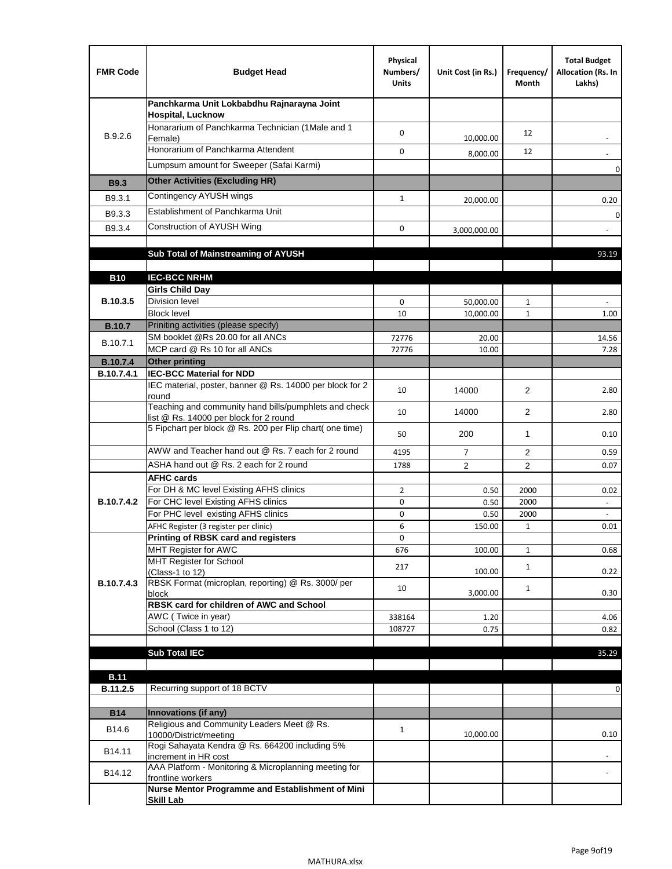| <b>FMR Code</b>   | <b>Budget Head</b>                                                                              | Physical<br>Numbers/<br><b>Units</b> | Unit Cost (in Rs.) | Frequency/<br>Month | <b>Total Budget</b><br>Allocation (Rs. In<br>Lakhs) |
|-------------------|-------------------------------------------------------------------------------------------------|--------------------------------------|--------------------|---------------------|-----------------------------------------------------|
|                   | Panchkarma Unit Lokbabdhu Rajnarayna Joint<br><b>Hospital, Lucknow</b>                          |                                      |                    |                     |                                                     |
| B.9.2.6           | Honararium of Panchkarma Technician (1Male and 1<br>Female)                                     | 0                                    | 10,000.00          | 12                  |                                                     |
|                   | Honorarium of Panchkarma Attendent                                                              | $\mathbf 0$                          | 8,000.00           | 12                  |                                                     |
|                   | Lumpsum amount for Sweeper (Safai Karmi)                                                        |                                      |                    |                     | 0                                                   |
| <b>B9.3</b>       | <b>Other Activities (Excluding HR)</b>                                                          |                                      |                    |                     |                                                     |
| B9.3.1            | Contingency AYUSH wings                                                                         | $\mathbf{1}$                         | 20,000.00          |                     | 0.20                                                |
| B9.3.3            | Establishment of Panchkarma Unit                                                                |                                      |                    |                     | $\mathbf 0$                                         |
| B9.3.4            | Construction of AYUSH Wing                                                                      | 0                                    | 3,000,000.00       |                     |                                                     |
|                   |                                                                                                 |                                      |                    |                     |                                                     |
|                   | Sub Total of Mainstreaming of AYUSH                                                             |                                      |                    |                     | 93.19                                               |
| <b>B10</b>        | <b>IEC-BCC NRHM</b>                                                                             |                                      |                    |                     |                                                     |
|                   | <b>Girls Child Day</b>                                                                          |                                      |                    |                     |                                                     |
| B.10.3.5          | <b>Division level</b>                                                                           | 0                                    | 50,000.00          | 1                   |                                                     |
|                   | <b>Block level</b>                                                                              | 10                                   | 10,000.00          | $\mathbf{1}$        | 1.00                                                |
| <b>B.10.7</b>     | Priniting activities (please specify)                                                           |                                      |                    |                     |                                                     |
| B.10.7.1          | SM booklet @Rs 20.00 for all ANCs<br>MCP card @ Rs 10 for all ANCs                              | 72776<br>72776                       | 20.00<br>10.00     |                     | 14.56<br>7.28                                       |
| <b>B.10.7.4</b>   | <b>Other printing</b>                                                                           |                                      |                    |                     |                                                     |
| B.10.7.4.1        | <b>IEC-BCC Material for NDD</b>                                                                 |                                      |                    |                     |                                                     |
|                   | IEC material, poster, banner @ Rs. 14000 per block for 2<br>round                               | 10                                   | 14000              | $\overline{2}$      | 2.80                                                |
|                   | Teaching and community hand bills/pumphlets and check<br>list @ Rs. 14000 per block for 2 round | 10                                   | 14000              | 2                   | 2.80                                                |
|                   | 5 Fipchart per block @ Rs. 200 per Flip chart( one time)                                        | 50                                   | 200                | 1                   | 0.10                                                |
|                   | AWW and Teacher hand out @ Rs. 7 each for 2 round                                               | 4195                                 | $\overline{7}$     | 2                   | 0.59                                                |
|                   | ASHA hand out @ Rs. 2 each for 2 round                                                          | 1788                                 | $\overline{2}$     | $\overline{2}$      | 0.07                                                |
|                   | <b>AFHC cards</b><br>For DH & MC level Existing AFHS clinics                                    | $\overline{2}$                       |                    | 2000                | 0.02                                                |
| <b>B.10.7.4.2</b> | For CHC level Existing AFHS clinics                                                             | 0                                    | 0.50<br>0.50       | 2000                | $\overline{\phantom{a}}$                            |
|                   | For PHC level existing AFHS clinics                                                             | 0                                    | 0.50               | 2000                | $\bar{\phantom{a}}$                                 |
|                   | AFHC Register (3 register per clinic)                                                           | 6                                    | 150.00             | $\mathbf{1}$        | 0.01                                                |
|                   | Printing of RBSK card and registers                                                             | 0                                    |                    |                     |                                                     |
|                   | MHT Register for AWC<br>MHT Register for School                                                 | 676                                  | 100.00             | $\mathbf{1}$        | 0.68                                                |
|                   | (Class-1 to 12)                                                                                 | 217                                  | 100.00             | $\mathbf{1}$        | 0.22                                                |
| B.10.7.4.3        | RBSK Format (microplan, reporting) @ Rs. 3000/ per                                              | 10                                   |                    | $\mathbf{1}$        |                                                     |
|                   | block<br>RBSK card for children of AWC and School                                               |                                      | 3,000.00           |                     | 0.30                                                |
|                   | AWC (Twice in year)                                                                             | 338164                               | 1.20               |                     | 4.06                                                |
|                   | School (Class 1 to 12)                                                                          | 108727                               | 0.75               |                     | 0.82                                                |
|                   |                                                                                                 |                                      |                    |                     |                                                     |
|                   | <b>Sub Total IEC</b>                                                                            |                                      |                    |                     | 35.29                                               |
| <b>B.11</b>       |                                                                                                 |                                      |                    |                     |                                                     |
| B.11.2.5          | Recurring support of 18 BCTV                                                                    |                                      |                    |                     | 0                                                   |
|                   |                                                                                                 |                                      |                    |                     |                                                     |
| <b>B14</b>        | Innovations (if any)<br>Religious and Community Leaders Meet @ Rs.                              |                                      |                    |                     |                                                     |
| B14.6             | 10000/District/meeting                                                                          | $\mathbf{1}$                         | 10,000.00          |                     | 0.10                                                |
| B14.11            | Rogi Sahayata Kendra @ Rs. 664200 including 5%<br>increment in HR cost                          |                                      |                    |                     |                                                     |
| B14.12            | AAA Platform - Monitoring & Microplanning meeting for<br>frontline workers                      |                                      |                    |                     |                                                     |
|                   | Nurse Mentor Programme and Establishment of Mini                                                |                                      |                    |                     |                                                     |
|                   | <b>Skill Lab</b>                                                                                |                                      |                    |                     |                                                     |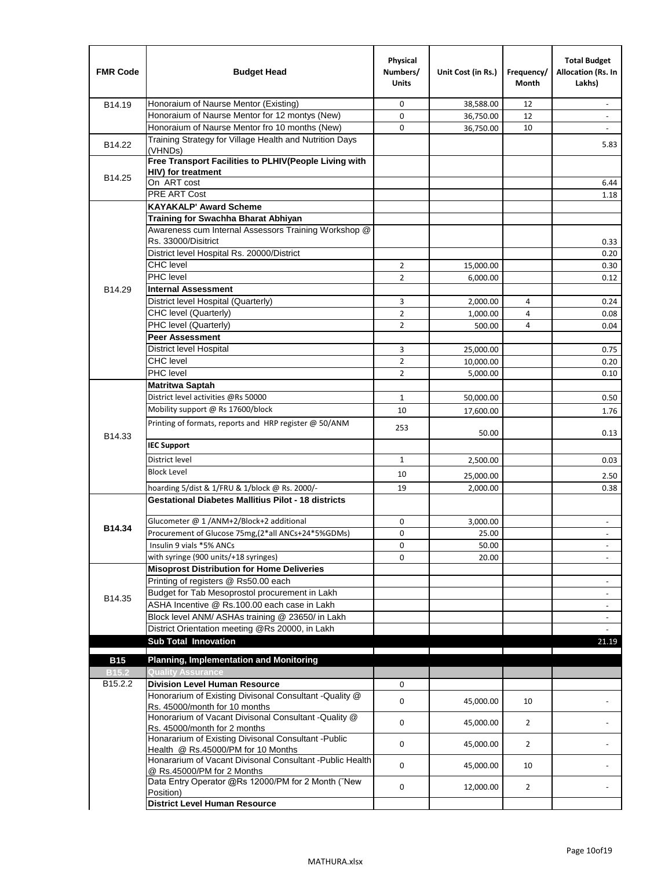| <b>FMR Code</b>     | <b>Budget Head</b>                                                                              | Physical<br>Numbers/<br><b>Units</b> | Unit Cost (in Rs.) | Frequency/<br>Month | <b>Total Budget</b><br>Allocation (Rs. In<br>Lakhs) |
|---------------------|-------------------------------------------------------------------------------------------------|--------------------------------------|--------------------|---------------------|-----------------------------------------------------|
| B14.19              | Honoraium of Naurse Mentor (Existing)                                                           | 0                                    | 38,588.00          | 12                  |                                                     |
|                     | Honoraium of Naurse Mentor for 12 montys (New)                                                  | 0                                    | 36,750.00          | 12                  | $\overline{a}$                                      |
|                     | Honoraium of Naurse Mentor fro 10 months (New)                                                  | 0                                    | 36,750.00          | 10                  | $\overline{\phantom{a}}$                            |
| B14.22              | Training Strategy for Village Health and Nutrition Days<br>(VHNDs)                              |                                      |                    |                     | 5.83                                                |
|                     | Free Transport Facilities to PLHIV(People Living with                                           |                                      |                    |                     |                                                     |
| B14.25              | HIV) for treatment                                                                              |                                      |                    |                     |                                                     |
|                     | On ART cost                                                                                     |                                      |                    |                     | 6.44                                                |
|                     | PRE ART Cost                                                                                    |                                      |                    |                     | 1.18                                                |
|                     | <b>KAYAKALP' Award Scheme</b>                                                                   |                                      |                    |                     |                                                     |
|                     | Training for Swachha Bharat Abhiyan                                                             |                                      |                    |                     |                                                     |
|                     | Awareness cum Internal Assessors Training Workshop @                                            |                                      |                    |                     |                                                     |
|                     | Rs. 33000/Disitrict                                                                             |                                      |                    |                     | 0.33                                                |
|                     | District level Hospital Rs. 20000/District                                                      |                                      |                    |                     | 0.20                                                |
|                     | <b>CHC</b> level                                                                                | 2                                    | 15,000.00          |                     | 0.30                                                |
|                     | PHC level                                                                                       | $\overline{2}$                       | 6,000.00           |                     | 0.12                                                |
| B14.29              | <b>Internal Assessment</b>                                                                      |                                      |                    |                     |                                                     |
|                     | District level Hospital (Quarterly)                                                             | 3                                    | 2,000.00           | 4                   | 0.24                                                |
|                     | CHC level (Quarterly)                                                                           | $\overline{2}$                       | 1,000.00           | $\overline{4}$      | 0.08                                                |
|                     | PHC level (Quarterly)                                                                           | $\overline{2}$                       | 500.00             | 4                   | 0.04                                                |
|                     | <b>Peer Assessment</b>                                                                          |                                      |                    |                     |                                                     |
|                     | <b>District level Hospital</b>                                                                  | 3                                    | 25,000.00          |                     | 0.75                                                |
|                     | <b>CHC</b> level                                                                                | $\overline{2}$                       | 10,000.00          |                     | 0.20                                                |
|                     | PHC level                                                                                       | $\overline{2}$                       | 5,000.00           |                     | 0.10                                                |
|                     | <b>Matritwa Saptah</b>                                                                          |                                      |                    |                     |                                                     |
|                     | District level activities @Rs 50000                                                             | $\mathbf{1}$                         | 50,000.00          |                     | 0.50                                                |
|                     | Mobility support @ Rs 17600/block                                                               | 10                                   | 17,600.00          |                     | 1.76                                                |
| B14.33              | Printing of formats, reports and HRP register @ 50/ANM                                          | 253                                  | 50.00              |                     | 0.13                                                |
|                     | <b>IEC Support</b>                                                                              |                                      |                    |                     |                                                     |
|                     | District level                                                                                  | 1                                    | 2,500.00           |                     | 0.03                                                |
|                     | <b>Block Level</b>                                                                              | 10                                   | 25,000.00          |                     | 2.50                                                |
|                     | hoarding 5/dist & 1/FRU & 1/block @ Rs. 2000/-                                                  | 19                                   | 2,000.00           |                     | 0.38                                                |
|                     | <b>Gestational Diabetes Mallitius Pilot - 18 districts</b>                                      |                                      |                    |                     |                                                     |
|                     |                                                                                                 |                                      |                    |                     |                                                     |
| B14.34              | Glucometer @ 1 /ANM+2/Block+2 additional<br>Procurement of Glucose 75mg, (2*all ANCs+24*5%GDMs) | 0                                    | 3,000.00           |                     |                                                     |
|                     |                                                                                                 | 0                                    | 25.00              |                     |                                                     |
|                     | Insulin 9 vials *5% ANCs                                                                        | 0                                    | 50.00              |                     | $\blacksquare$                                      |
|                     | with syringe (900 units/+18 syringes)<br><b>Misoprost Distribution for Home Deliveries</b>      | 0                                    | 20.00              |                     |                                                     |
|                     | Printing of registers @ Rs50.00 each                                                            |                                      |                    |                     |                                                     |
|                     | Budget for Tab Mesoprostol procurement in Lakh                                                  |                                      |                    |                     | $\overline{\phantom{a}}$<br>$\blacksquare$          |
| B14.35              | ASHA Incentive @ Rs.100.00 each case in Lakh                                                    |                                      |                    |                     |                                                     |
|                     | Block level ANM/ ASHAs training @ 23650/ in Lakh                                                |                                      |                    |                     | $\overline{\phantom{a}}$                            |
|                     | District Orientation meeting @Rs 20000, in Lakh                                                 |                                      |                    |                     | $\omega$                                            |
|                     | <b>Sub Total Innovation</b>                                                                     |                                      |                    |                     | 21.19                                               |
| <b>B15</b>          | <b>Planning, Implementation and Monitoring</b>                                                  |                                      |                    |                     |                                                     |
| <b>B15.2</b>        | <b>Quality Assurance</b>                                                                        |                                      |                    |                     |                                                     |
| B <sub>15.2.2</sub> | <b>Division Level Human Resource</b>                                                            | 0                                    |                    |                     |                                                     |
|                     | Honorarium of Existing Divisonal Consultant - Quality @                                         |                                      |                    |                     |                                                     |
|                     | Rs. 45000/month for 10 months                                                                   | 0                                    | 45,000.00          | 10                  |                                                     |
|                     | Honorarium of Vacant Divisonal Consultant - Quality @<br>Rs. 45000/month for 2 months           | 0                                    | 45,000.00          | $\overline{2}$      |                                                     |
|                     | Honararium of Existing Divisonal Consultant - Public                                            | 0                                    | 45,000.00          | $\overline{2}$      |                                                     |
|                     | Health @ Rs.45000/PM for 10 Months<br>Honararium of Vacant Divisonal Consultant - Public Health | 0                                    | 45,000.00          | 10                  |                                                     |
|                     | @ Rs.45000/PM for 2 Months<br>Data Entry Operator @Rs 12000/PM for 2 Month ("New                |                                      |                    |                     |                                                     |
|                     | Position)<br><b>District Level Human Resource</b>                                               | 0                                    | 12,000.00          | $\overline{2}$      |                                                     |
|                     |                                                                                                 |                                      |                    |                     |                                                     |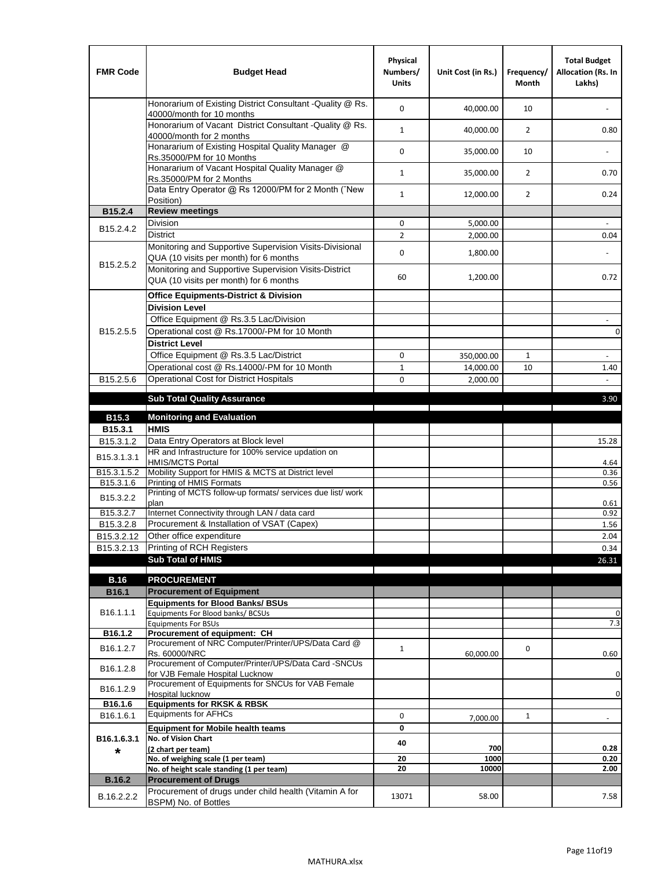| <b>FMR Code</b>         | <b>Budget Head</b>                                                                                | Physical<br>Numbers/<br><b>Units</b> | Unit Cost (in Rs.) | Frequency/<br><b>Month</b> | <b>Total Budget</b><br>Allocation (Rs. In<br>Lakhs) |
|-------------------------|---------------------------------------------------------------------------------------------------|--------------------------------------|--------------------|----------------------------|-----------------------------------------------------|
|                         | Honorarium of Existing District Consultant -Quality @ Rs.<br>40000/month for 10 months            | $\mathbf 0$                          | 40,000.00          | 10                         |                                                     |
|                         | Honorarium of Vacant District Consultant -Quality @ Rs.<br>40000/month for 2 months               | $\mathbf{1}$                         | 40,000.00          | $\overline{2}$             | 0.80                                                |
|                         | Honararium of Existing Hospital Quality Manager @<br>Rs.35000/PM for 10 Months                    | 0                                    | 35,000.00          | 10                         |                                                     |
|                         | Honararium of Vacant Hospital Quality Manager @<br>Rs.35000/PM for 2 Months                       | $\mathbf{1}$                         | 35,000.00          | $\overline{2}$             | 0.70                                                |
|                         | Data Entry Operator @ Rs 12000/PM for 2 Month ("New<br>Position)                                  | $\mathbf{1}$                         | 12,000.00          | $\overline{2}$             | 0.24                                                |
| B15.2.4                 | <b>Review meetings</b>                                                                            |                                      |                    |                            |                                                     |
| B <sub>15.2</sub> .4.2  | Division                                                                                          | 0                                    | 5,000.00           |                            |                                                     |
|                         | <b>District</b>                                                                                   | $\overline{2}$                       | 2,000.00           |                            | 0.04                                                |
| B15.2.5.2               | Monitoring and Supportive Supervision Visits-Divisional<br>QUA (10 visits per month) for 6 months | $\mathbf 0$                          | 1,800.00           |                            |                                                     |
|                         | Monitoring and Supportive Supervision Visits-District<br>QUA (10 visits per month) for 6 months   | 60                                   | 1,200.00           |                            | 0.72                                                |
|                         | <b>Office Equipments-District &amp; Division</b>                                                  |                                      |                    |                            |                                                     |
|                         | <b>Division Level</b>                                                                             |                                      |                    |                            |                                                     |
|                         | Office Equipment @ Rs.3.5 Lac/Division                                                            |                                      |                    |                            | $\sim$                                              |
| B15.2.5.5               | Operational cost @ Rs.17000/-PM for 10 Month                                                      |                                      |                    |                            | $\pmb{0}$                                           |
|                         | <b>District Level</b>                                                                             |                                      |                    |                            |                                                     |
|                         | Office Equipment @ Rs.3.5 Lac/District                                                            | 0                                    | 350,000.00         | $\mathbf{1}$               | $\blacksquare$                                      |
|                         | Operational cost @ Rs.14000/-PM for 10 Month                                                      | $1\,$                                | 14,000.00          | 10                         | 1.40                                                |
| B15.2.5.6               | <b>Operational Cost for District Hospitals</b>                                                    | 0                                    | 2,000.00           |                            | $\mathbf{r}$                                        |
|                         | <b>Sub Total Quality Assurance</b>                                                                |                                      |                    |                            | 3.90                                                |
| B15.3                   | <b>Monitoring and Evaluation</b>                                                                  |                                      |                    |                            |                                                     |
| B15.3.1                 | <b>HMIS</b>                                                                                       |                                      |                    |                            |                                                     |
| B15.3.1.2               | Data Entry Operators at Block level                                                               |                                      |                    |                            | 15.28                                               |
| B15.3.1.3.1             | HR and Infrastructure for 100% service updation on<br><b>HMIS/MCTS Portal</b>                     |                                      |                    |                            | 4.64                                                |
| B <sub>15.3.1.5.2</sub> | Mobility Support for HMIS & MCTS at District level                                                |                                      |                    |                            | 0.36                                                |
| B15.3.1.6               | Printing of HMIS Formats<br>Printing of MCTS follow-up formats/ services due list/ work           |                                      |                    |                            | 0.56                                                |
| B15.3.2.2               | plan                                                                                              |                                      |                    |                            | 0.61                                                |
| B15.3.2.7               | Internet Connectivity through LAN / data card                                                     |                                      |                    |                            | 0.92                                                |
| B15.3.2.8               | Procurement & Installation of VSAT (Capex)                                                        |                                      |                    |                            | 1.56                                                |
| B15.3.2.12              | Other office expenditure                                                                          |                                      |                    |                            | 2.04                                                |
| B15.3.2.13              | Printing of RCH Registers                                                                         |                                      |                    |                            | 0.34                                                |
|                         | <b>Sub Total of HMIS</b>                                                                          |                                      |                    |                            | 26.31                                               |
| <b>B.16</b>             | <b>PROCUREMENT</b>                                                                                |                                      |                    |                            |                                                     |
| B16.1                   | <b>Procurement of Equipment</b>                                                                   |                                      |                    |                            |                                                     |
|                         | <b>Equipments for Blood Banks/ BSUs</b>                                                           |                                      |                    |                            |                                                     |
| B16.1.1.1               | Equipments For Blood banks/ BCSUs                                                                 |                                      |                    |                            | 0                                                   |
| B16.1.2                 | <b>Equipments For BSUs</b><br>Procurement of equipment: CH                                        |                                      |                    |                            | 7.3                                                 |
| B16.1.2.7               | Procurement of NRC Computer/Printer/UPS/Data Card @                                               | $\mathbf{1}$                         |                    |                            |                                                     |
|                         | Rs. 60000/NRC                                                                                     |                                      | 60,000.00          | 0                          | 0.60                                                |
| B16.1.2.8               | Procurement of Computer/Printer/UPS/Data Card -SNCUs<br>for VJB Female Hospital Lucknow           |                                      |                    |                            | 0                                                   |
|                         | Procurement of Equipments for SNCUs for VAB Female                                                |                                      |                    |                            |                                                     |
| B16.1.2.9               | Hospital lucknow                                                                                  |                                      |                    |                            | 0                                                   |
| B16.1.6                 | <b>Equipments for RKSK &amp; RBSK</b>                                                             |                                      |                    |                            |                                                     |
| B16.1.6.1               | <b>Equipments for AFHCs</b>                                                                       | 0                                    | 7,000.00           | $\mathbf{1}$               | ÷,                                                  |
|                         | <b>Equipment for Mobile health teams</b><br>No. of Vision Chart                                   | 0                                    |                    |                            |                                                     |
| B16.1.6.3.1<br>*        | (2 chart per team)                                                                                | 40                                   | 700                |                            | 0.28                                                |
|                         | No. of weighing scale (1 per team)                                                                | 20                                   | 1000               |                            | 0.20                                                |
|                         | No. of height scale standing (1 per team)                                                         | 20                                   | 10000              |                            | 2.00                                                |
| <b>B.16.2</b>           | <b>Procurement of Drugs</b>                                                                       |                                      |                    |                            |                                                     |
| B.16.2.2.2              | Procurement of drugs under child health (Vitamin A for<br>BSPM) No. of Bottles                    | 13071                                | 58.00              |                            | 7.58                                                |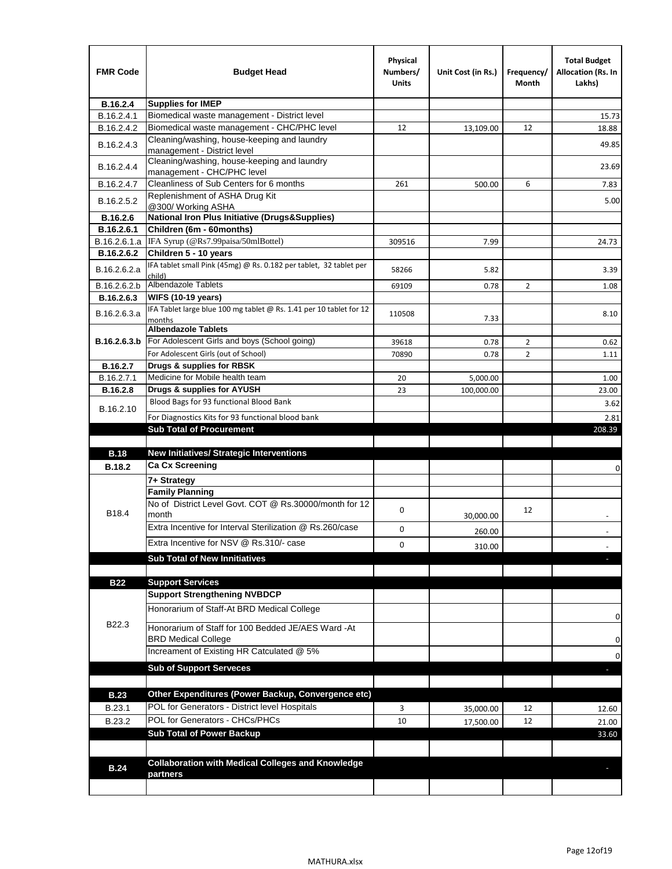| <b>FMR Code</b> | <b>Budget Head</b>                                                            | Physical<br>Numbers/<br><b>Units</b> | Unit Cost (in Rs.) | Frequency/<br>Month | <b>Total Budget</b><br><b>Allocation (Rs. In</b><br>Lakhs) |
|-----------------|-------------------------------------------------------------------------------|--------------------------------------|--------------------|---------------------|------------------------------------------------------------|
| B.16.2.4        | <b>Supplies for IMEP</b>                                                      |                                      |                    |                     |                                                            |
| B.16.2.4.1      | Biomedical waste management - District level                                  |                                      |                    |                     | 15.73                                                      |
| B.16.2.4.2      | Biomedical waste management - CHC/PHC level                                   | 12                                   | 13,109.00          | 12                  | 18.88                                                      |
| B.16.2.4.3      | Cleaning/washing, house-keeping and laundry<br>management - District level    |                                      |                    |                     | 49.85                                                      |
| B.16.2.4.4      | Cleaning/washing, house-keeping and laundry<br>management - CHC/PHC level     |                                      |                    |                     | 23.69                                                      |
| B.16.2.4.7      | Cleanliness of Sub Centers for 6 months                                       | 261                                  | 500.00             | 6                   | 7.83                                                       |
| B.16.2.5.2      | Replenishment of ASHA Drug Kit<br>@300/ Working ASHA                          |                                      |                    |                     | 5.00                                                       |
| B.16.2.6        | <b>National Iron Plus Initiative (Drugs&amp;Supplies)</b>                     |                                      |                    |                     |                                                            |
| B.16.2.6.1      | Children (6m - 60months)                                                      |                                      |                    |                     |                                                            |
| B.16.2.6.1.a    | IFA Syrup (@Rs7.99paisa/50mlBottel)                                           | 309516                               | 7.99               |                     | 24.73                                                      |
| B.16.2.6.2      | Children 5 - 10 years                                                         |                                      |                    |                     |                                                            |
| B.16.2.6.2.a    | IFA tablet small Pink (45mg) @ Rs. 0.182 per tablet, 32 tablet per<br>child)  | 58266                                | 5.82               |                     | 3.39                                                       |
| B.16.2.6.2.b    | <b>Albendazole Tablets</b>                                                    | 69109                                | 0.78               | 2                   | 1.08                                                       |
| B.16.2.6.3      | <b>WIFS (10-19 years)</b>                                                     |                                      |                    |                     |                                                            |
| B.16.2.6.3.a    | IFA Tablet large blue 100 mg tablet @ Rs. 1.41 per 10 tablet for 12<br>months | 110508                               | 7.33               |                     | 8.10                                                       |
|                 | <b>Albendazole Tablets</b>                                                    |                                      |                    |                     |                                                            |
| B.16.2.6.3.b    | For Adolescent Girls and boys (School going)                                  | 39618                                | 0.78               | $\overline{2}$      | 0.62                                                       |
|                 | For Adolescent Girls (out of School)                                          | 70890                                | 0.78               | $\overline{2}$      | 1.11                                                       |
| B.16.2.7        | Drugs & supplies for RBSK                                                     |                                      |                    |                     |                                                            |
| B.16.2.7.1      | Medicine for Mobile health team                                               | 20                                   | 5,000.00           |                     | 1.00                                                       |
| <b>B.16.2.8</b> | Drugs & supplies for AYUSH<br>Blood Bags for 93 functional Blood Bank         | 23                                   | 100,000.00         |                     | 23.00                                                      |
| B.16.2.10       |                                                                               |                                      |                    |                     | 3.62                                                       |
|                 | For Diagnostics Kits for 93 functional blood bank                             |                                      |                    |                     | 2.81                                                       |
|                 | <b>Sub Total of Procurement</b>                                               |                                      |                    |                     | 208.39                                                     |
| <b>B.18</b>     | <b>New Initiatives/ Strategic Interventions</b>                               |                                      |                    |                     |                                                            |
| <b>B.18.2</b>   | <b>Ca Cx Screening</b>                                                        |                                      |                    |                     |                                                            |
|                 |                                                                               |                                      |                    |                     | 0                                                          |
|                 | 7+ Strategy<br><b>Family Planning</b>                                         |                                      |                    |                     |                                                            |
| B18.4           | No of District Level Govt. COT @ Rs.30000/month for 12<br>month               | 0                                    |                    | 12                  |                                                            |
|                 | Extra Incentive for Interval Sterilization @ Rs.260/case                      |                                      | 30,000.00          |                     |                                                            |
|                 |                                                                               | 0                                    | 260.00             |                     |                                                            |
|                 | Extra Incentive for NSV @ Rs.310/- case                                       | 0                                    | 310.00             |                     |                                                            |
|                 | <b>Sub Total of New Innitiatives</b>                                          |                                      |                    |                     |                                                            |
|                 |                                                                               |                                      |                    |                     |                                                            |
| <b>B22</b>      | <b>Support Services</b><br><b>Support Strengthening NVBDCP</b>                |                                      |                    |                     |                                                            |
|                 | Honorarium of Staff-At BRD Medical College                                    |                                      |                    |                     |                                                            |
| B22.3           | Honorarium of Staff for 100 Bedded JE/AES Ward -At                            |                                      |                    |                     | 0                                                          |
|                 | <b>BRD Medical College</b><br>Increament of Existing HR Catculated @ 5%       |                                      |                    |                     | 0                                                          |
|                 | <b>Sub of Support Serveces</b>                                                |                                      |                    |                     | 0                                                          |
|                 |                                                                               |                                      |                    |                     |                                                            |
| <b>B.23</b>     | Other Expenditures (Power Backup, Convergence etc)                            |                                      |                    |                     |                                                            |
|                 | POL for Generators - District level Hospitals                                 |                                      |                    |                     |                                                            |
| B.23.1          | POL for Generators - CHCs/PHCs                                                | 3                                    | 35,000.00          | 12                  | 12.60                                                      |
| B.23.2          | <b>Sub Total of Power Backup</b>                                              | 10                                   | 17,500.00          | 12                  | 21.00                                                      |
|                 |                                                                               |                                      |                    |                     | 33.60                                                      |
|                 | <b>Collaboration with Medical Colleges and Knowledge</b>                      |                                      |                    |                     |                                                            |
| <b>B.24</b>     | partners                                                                      |                                      |                    |                     |                                                            |
|                 |                                                                               |                                      |                    |                     |                                                            |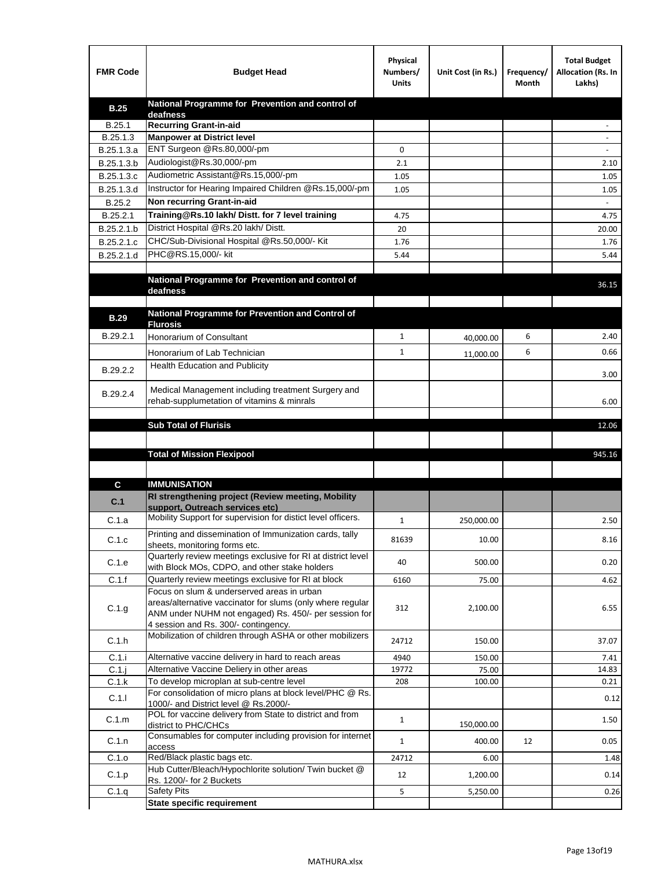| <b>FMR Code</b>   | <b>Budget Head</b>                                                                                                  | Physical<br>Numbers/<br><b>Units</b> | Unit Cost (in Rs.) | Frequency/<br>Month | <b>Total Budget</b><br>Allocation (Rs. In<br>Lakhs) |
|-------------------|---------------------------------------------------------------------------------------------------------------------|--------------------------------------|--------------------|---------------------|-----------------------------------------------------|
| <b>B.25</b>       | National Programme for Prevention and control of                                                                    |                                      |                    |                     |                                                     |
| B.25.1            | deafness<br><b>Recurring Grant-in-aid</b>                                                                           |                                      |                    |                     |                                                     |
| B.25.1.3          | <b>Manpower at District level</b>                                                                                   |                                      |                    |                     |                                                     |
| B.25.1.3.a        | ENT Surgeon @Rs.80,000/-pm                                                                                          | 0                                    |                    |                     |                                                     |
| B.25.1.3.b        | Audiologist@Rs.30,000/-pm                                                                                           | 2.1                                  |                    |                     | 2.10                                                |
| B.25.1.3.c        | Audiometric Assistant@Rs.15,000/-pm                                                                                 | 1.05                                 |                    |                     | 1.05                                                |
| B.25.1.3.d        | Instructor for Hearing Impaired Children @Rs.15,000/-pm                                                             | 1.05                                 |                    |                     | 1.05                                                |
| B.25.2            | Non recurring Grant-in-aid                                                                                          |                                      |                    |                     |                                                     |
| B.25.2.1          | Training@Rs.10 lakh/ Distt. for 7 level training                                                                    | 4.75                                 |                    |                     | 4.75                                                |
| B.25.2.1.b        | District Hospital @Rs.20 lakh/Distt.                                                                                | 20                                   |                    |                     | 20.00                                               |
| B.25.2.1.c        | CHC/Sub-Divisional Hospital @Rs.50,000/- Kit                                                                        | 1.76                                 |                    |                     | 1.76                                                |
| B.25.2.1.d        | PHC@RS.15,000/- kit                                                                                                 | 5.44                                 |                    |                     | 5.44                                                |
|                   |                                                                                                                     |                                      |                    |                     |                                                     |
|                   | National Programme for Prevention and control of                                                                    |                                      |                    |                     | 36.15                                               |
|                   | deafness                                                                                                            |                                      |                    |                     |                                                     |
|                   | National Programme for Prevention and Control of                                                                    |                                      |                    |                     |                                                     |
| <b>B.29</b>       | <b>Flurosis</b>                                                                                                     |                                      |                    |                     |                                                     |
| B.29.2.1          | Honorarium of Consultant                                                                                            | 1                                    | 40,000.00          | 6                   | 2.40                                                |
|                   | Honorarium of Lab Technician                                                                                        | 1                                    | 11,000.00          | 6                   | 0.66                                                |
| B.29.2.2          | <b>Health Education and Publicity</b>                                                                               |                                      |                    |                     |                                                     |
|                   |                                                                                                                     |                                      |                    |                     | 3.00                                                |
| B.29.2.4          | Medical Management including treatment Surgery and                                                                  |                                      |                    |                     |                                                     |
|                   | rehab-supplumetation of vitamins & minrals                                                                          |                                      |                    |                     | 6.00                                                |
|                   |                                                                                                                     |                                      |                    |                     |                                                     |
|                   | <b>Sub Total of Flurisis</b>                                                                                        |                                      |                    |                     | 12.06                                               |
|                   |                                                                                                                     |                                      |                    |                     |                                                     |
|                   | <b>Total of Mission Flexipool</b>                                                                                   |                                      |                    |                     | 945.16                                              |
|                   |                                                                                                                     |                                      |                    |                     |                                                     |
| C                 | <b>IMMUNISATION</b>                                                                                                 |                                      |                    |                     |                                                     |
| C.1               | RI strengthening project (Review meeting, Mobility<br>support, Outreach services etc)                               |                                      |                    |                     |                                                     |
| C.1.a             | Mobility Support for supervision for distict level officers.                                                        | 1                                    | 250,000.00         |                     | 2.50                                                |
|                   |                                                                                                                     |                                      |                    |                     |                                                     |
| C.1.c             | Printing and dissemination of Immunization cards, tally<br>sheets, monitoring forms etc.                            | 81639                                | 10.00              |                     | 8.16                                                |
|                   | Quarterly review meetings exclusive for RI at district level                                                        |                                      |                    |                     |                                                     |
| C.1.e             | with Block MOs, CDPO, and other stake holders                                                                       | 40                                   | 500.00             |                     | 0.20                                                |
| C.1.f             | Quarterly review meetings exclusive for RI at block                                                                 | 6160                                 | 75.00              |                     | 4.62                                                |
|                   | Focus on slum & underserved areas in urban                                                                          |                                      |                    |                     |                                                     |
| C.1.g             | areas/alternative vaccinator for slums (only where regular<br>ANM under NUHM not engaged) Rs. 450/- per session for | 312                                  | 2,100.00           |                     | 6.55                                                |
|                   | 4 session and Rs. 300/- contingency.                                                                                |                                      |                    |                     |                                                     |
| C.1.h             | Mobilization of children through ASHA or other mobilizers                                                           | 24712                                | 150.00             |                     | 37.07                                               |
|                   |                                                                                                                     |                                      |                    |                     |                                                     |
| C.1.i             | Alternative vaccine delivery in hard to reach areas                                                                 | 4940                                 | 150.00             |                     | 7.41                                                |
| $C.1$ .j<br>C.1.k | Alternative Vaccine Deliery in other areas<br>To develop microplan at sub-centre level                              | 19772<br>208                         | 75.00<br>100.00    |                     | 14.83<br>0.21                                       |
|                   | For consolidation of micro plans at block level/PHC @ Rs.                                                           |                                      |                    |                     |                                                     |
| C.1.1             | 1000/- and District level @ Rs.2000/-                                                                               |                                      |                    |                     | 0.12                                                |
| C.1.m             | POL for vaccine delivery from State to district and from                                                            | $\mathbf{1}$                         |                    |                     | 1.50                                                |
|                   | district to PHC/CHCs<br>Consumables for computer including provision for internet                                   |                                      | 150,000.00         |                     |                                                     |
| C.1.n             | access                                                                                                              | $\mathbf{1}$                         | 400.00             | 12                  | 0.05                                                |
| C.1.o             | Red/Black plastic bags etc.                                                                                         | 24712                                | 6.00               |                     | 1.48                                                |
| C.1.p             | Hub Cutter/Bleach/Hypochlorite solution/ Twin bucket @                                                              | 12                                   | 1,200.00           |                     | 0.14                                                |
|                   | Rs. 1200/- for 2 Buckets                                                                                            |                                      |                    |                     |                                                     |
| C.1.q             | <b>Safety Pits</b><br><b>State specific requirement</b>                                                             | 5                                    | 5,250.00           |                     | 0.26                                                |
|                   |                                                                                                                     |                                      |                    |                     |                                                     |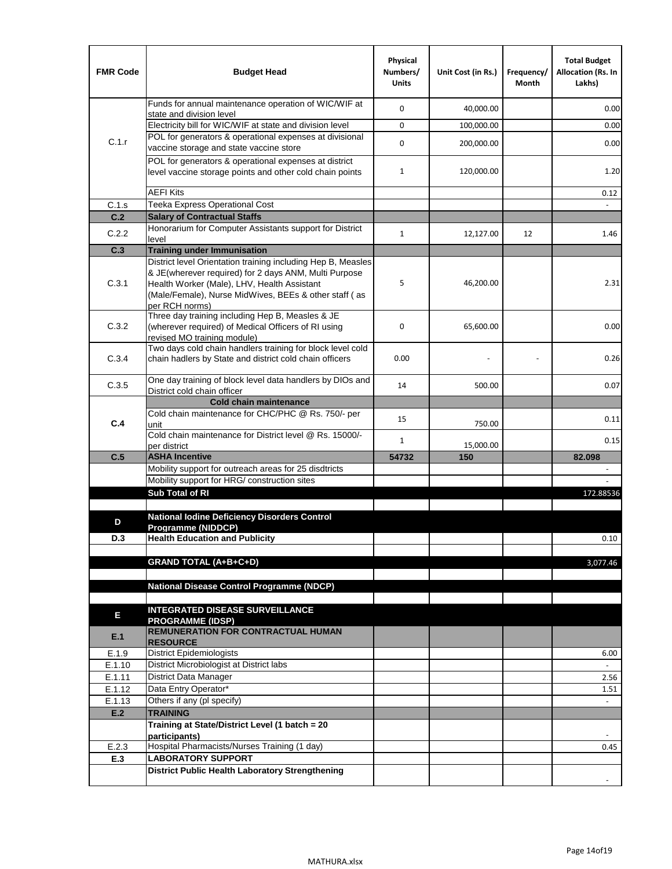| <b>FMR Code</b>  | <b>Budget Head</b>                                                                                                                                                              | Physical<br>Numbers/<br><b>Units</b> | Unit Cost (in Rs.) | Frequency/<br>Month | <b>Total Budget</b><br>Allocation (Rs. In<br>Lakhs) |
|------------------|---------------------------------------------------------------------------------------------------------------------------------------------------------------------------------|--------------------------------------|--------------------|---------------------|-----------------------------------------------------|
|                  | Funds for annual maintenance operation of WIC/WIF at<br>state and division level                                                                                                | 0                                    | 40,000.00          |                     | 0.00                                                |
|                  | Electricity bill for WIC/WIF at state and division level                                                                                                                        | 0                                    | 100,000.00         |                     | 0.00                                                |
| C.1.r            | POL for generators & operational expenses at divisional                                                                                                                         |                                      |                    |                     |                                                     |
|                  | vaccine storage and state vaccine store                                                                                                                                         | 0                                    | 200,000.00         |                     | 0.00                                                |
|                  | POL for generators & operational expenses at district<br>level vaccine storage points and other cold chain points                                                               | $\mathbf{1}$                         | 120,000.00         |                     | 1.20                                                |
|                  | <b>AEFI Kits</b>                                                                                                                                                                |                                      |                    |                     | 0.12                                                |
| C.1.s            | Teeka Express Operational Cost                                                                                                                                                  |                                      |                    |                     |                                                     |
| C.2              | <b>Salary of Contractual Staffs</b>                                                                                                                                             |                                      |                    |                     |                                                     |
| C.2.2            | Honorarium for Computer Assistants support for District<br>level                                                                                                                | $\mathbf{1}$                         | 12,127.00          | 12                  | 1.46                                                |
| C.3              | <b>Training under Immunisation</b>                                                                                                                                              |                                      |                    |                     |                                                     |
|                  | District level Orientation training including Hep B, Measles                                                                                                                    |                                      |                    |                     |                                                     |
| C.3.1            | & JE(wherever required) for 2 days ANM, Multi Purpose<br>Health Worker (Male), LHV, Health Assistant<br>(Male/Female), Nurse MidWives, BEEs & other staff (as<br>per RCH norms) | 5                                    | 46,200.00          |                     | 2.31                                                |
| C.3.2            | Three day training including Hep B, Measles & JE<br>(wherever required) of Medical Officers of RI using<br>revised MO training module)                                          | 0                                    | 65,600.00          |                     | 0.00                                                |
| C.3.4            | Two days cold chain handlers training for block level cold<br>chain hadlers by State and district cold chain officers                                                           | 0.00                                 |                    |                     | 0.26                                                |
| C.3.5            | One day training of block level data handlers by DIOs and<br>District cold chain officer                                                                                        | 14                                   | 500.00             |                     | 0.07                                                |
|                  | <b>Cold chain maintenance</b>                                                                                                                                                   |                                      |                    |                     |                                                     |
| C.4              | Cold chain maintenance for CHC/PHC @ Rs. 750/- per<br>unit                                                                                                                      | 15                                   | 750.00             |                     | 0.11                                                |
|                  | Cold chain maintenance for District level @ Rs. 15000/-<br>per district                                                                                                         | 1                                    | 15,000.00          |                     | 0.15                                                |
| C.5              | <b>ASHA Incentive</b>                                                                                                                                                           | 54732                                | 150                |                     | 82.098                                              |
|                  | Mobility support for outreach areas for 25 disdtricts                                                                                                                           |                                      |                    |                     |                                                     |
|                  | Mobility support for HRG/ construction sites                                                                                                                                    |                                      |                    |                     |                                                     |
|                  | Sub Total of RI                                                                                                                                                                 |                                      |                    |                     | 172.88536                                           |
| D                | <b>National lodine Deficiency Disorders Control</b>                                                                                                                             |                                      |                    |                     |                                                     |
| D.3              | Programme (NIDDCP)<br><b>Health Education and Publicity</b>                                                                                                                     |                                      |                    |                     | 0.10                                                |
|                  |                                                                                                                                                                                 |                                      |                    |                     |                                                     |
|                  | <b>GRAND TOTAL (A+B+C+D)</b>                                                                                                                                                    |                                      |                    |                     | 3,077.46                                            |
|                  |                                                                                                                                                                                 |                                      |                    |                     |                                                     |
|                  | National Disease Control Programme (NDCP)                                                                                                                                       |                                      |                    |                     |                                                     |
|                  |                                                                                                                                                                                 |                                      |                    |                     |                                                     |
| Е                | <b>INTEGRATED DISEASE SURVEILLANCE</b><br><b>PROGRAMME (IDSP)</b>                                                                                                               |                                      |                    |                     |                                                     |
| E.1              | <b>REMUNERATION FOR CONTRACTUAL HUMAN</b><br><b>RESOURCE</b>                                                                                                                    |                                      |                    |                     |                                                     |
| E.1.9            | District Epidemiologists                                                                                                                                                        |                                      |                    |                     | 6.00                                                |
| E.1.10           | District Microbiologist at District labs                                                                                                                                        |                                      |                    |                     |                                                     |
| E.1.11           | District Data Manager                                                                                                                                                           |                                      |                    |                     | 2.56                                                |
| E.1.12<br>E.1.13 | Data Entry Operator*<br>Others if any (pl specify)                                                                                                                              |                                      |                    |                     | 1.51<br>$\omega$                                    |
| E.2              | <b>TRAINING</b>                                                                                                                                                                 |                                      |                    |                     |                                                     |
|                  | Training at State/District Level (1 batch = 20                                                                                                                                  |                                      |                    |                     |                                                     |
|                  | participants)                                                                                                                                                                   |                                      |                    |                     |                                                     |
| E.2.3            | Hospital Pharmacists/Nurses Training (1 day)                                                                                                                                    |                                      |                    |                     | 0.45                                                |
| E.3              | <b>LABORATORY SUPPORT</b>                                                                                                                                                       |                                      |                    |                     |                                                     |
|                  | <b>District Public Health Laboratory Strengthening</b>                                                                                                                          |                                      |                    |                     |                                                     |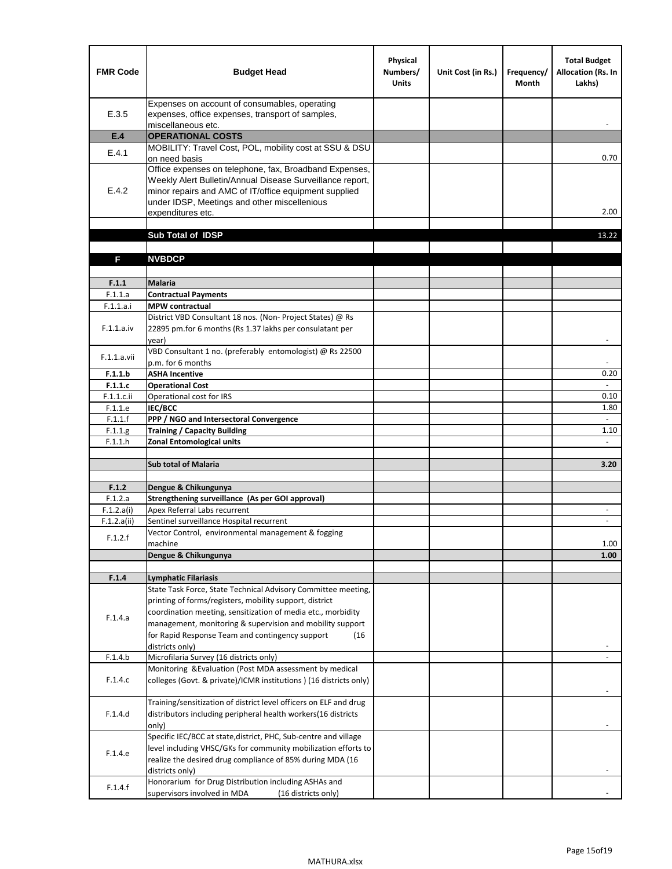| <b>FMR Code</b>           | <b>Budget Head</b>                                                                                                                                                                                                                                | Physical<br>Numbers/<br><b>Units</b> | Unit Cost (in Rs.) | Frequency/<br><b>Month</b> | <b>Total Budget</b><br><b>Allocation (Rs. In</b><br>Lakhs) |
|---------------------------|---------------------------------------------------------------------------------------------------------------------------------------------------------------------------------------------------------------------------------------------------|--------------------------------------|--------------------|----------------------------|------------------------------------------------------------|
| E.3.5                     | Expenses on account of consumables, operating<br>expenses, office expenses, transport of samples,<br>miscellaneous etc.                                                                                                                           |                                      |                    |                            |                                                            |
| E.4                       | <b>OPERATIONAL COSTS</b>                                                                                                                                                                                                                          |                                      |                    |                            |                                                            |
| E.4.1                     | MOBILITY: Travel Cost, POL, mobility cost at SSU & DSU<br>on need basis                                                                                                                                                                           |                                      |                    |                            | 0.70                                                       |
| E.4.2                     | Office expenses on telephone, fax, Broadband Expenses,<br>Weekly Alert Bulletin/Annual Disease Surveillance report,<br>minor repairs and AMC of IT/office equipment supplied<br>under IDSP, Meetings and other miscellenious<br>expenditures etc. |                                      |                    |                            | 2.00                                                       |
|                           | Sub Total of IDSP                                                                                                                                                                                                                                 |                                      |                    |                            | 13.22                                                      |
|                           |                                                                                                                                                                                                                                                   |                                      |                    |                            |                                                            |
| F                         | <b>NVBDCP</b>                                                                                                                                                                                                                                     |                                      |                    |                            |                                                            |
| F.1.1                     | <b>Malaria</b>                                                                                                                                                                                                                                    |                                      |                    |                            |                                                            |
| F.1.1.a                   | <b>Contractual Payments</b>                                                                                                                                                                                                                       |                                      |                    |                            |                                                            |
| F.1.1.a.i                 | <b>MPW</b> contractual                                                                                                                                                                                                                            |                                      |                    |                            |                                                            |
| F.1.1.a.iv                | District VBD Consultant 18 nos. (Non-Project States) @ Rs<br>22895 pm.for 6 months (Rs 1.37 lakhs per consulatant per<br>year)                                                                                                                    |                                      |                    |                            | $\overline{\phantom{a}}$                                   |
| F.1.1.a.vii               | VBD Consultant 1 no. (preferably entomologist) @ Rs 22500<br>p.m. for 6 months                                                                                                                                                                    |                                      |                    |                            |                                                            |
| F.1.1.b                   | <b>ASHA Incentive</b>                                                                                                                                                                                                                             |                                      |                    |                            | 0.20                                                       |
| F.1.1.c                   | <b>Operational Cost</b>                                                                                                                                                                                                                           |                                      |                    |                            | $\overline{\phantom{a}}$                                   |
| F.1.1.c.ii                | Operational cost for IRS                                                                                                                                                                                                                          |                                      |                    |                            | 0.10                                                       |
| F.1.1.e                   | <b>IEC/BCC</b>                                                                                                                                                                                                                                    |                                      |                    |                            | 1.80<br>$\omega$                                           |
| F.1.1.f<br>F.1.1.g        | PPP / NGO and Intersectoral Convergence<br><b>Training / Capacity Building</b>                                                                                                                                                                    |                                      |                    |                            | 1.10                                                       |
| F.1.1.h                   | <b>Zonal Entomological units</b>                                                                                                                                                                                                                  |                                      |                    |                            | $\omega$                                                   |
|                           |                                                                                                                                                                                                                                                   |                                      |                    |                            |                                                            |
|                           | <b>Sub total of Malaria</b>                                                                                                                                                                                                                       |                                      |                    |                            | 3.20                                                       |
|                           |                                                                                                                                                                                                                                                   |                                      |                    |                            |                                                            |
| F.1.2                     | Dengue & Chikungunya                                                                                                                                                                                                                              |                                      |                    |                            |                                                            |
| F.1.2.a                   | Strengthening surveillance (As per GOI approval)                                                                                                                                                                                                  |                                      |                    |                            |                                                            |
| F.1.2.a(i)<br>F.1.2.a(ii) | Apex Referral Labs recurrent<br>Sentinel surveillance Hospital recurrent                                                                                                                                                                          |                                      |                    |                            | $\overline{\phantom{a}}$<br>$\overline{\phantom{a}}$       |
|                           | Vector Control, environmental management & fogging                                                                                                                                                                                                |                                      |                    |                            |                                                            |
| F.1.2.f                   | machine                                                                                                                                                                                                                                           |                                      |                    |                            | 1.00                                                       |
|                           | Dengue & Chikungunya                                                                                                                                                                                                                              |                                      |                    |                            | 1.00                                                       |
|                           |                                                                                                                                                                                                                                                   |                                      |                    |                            |                                                            |
| F.1.4                     | Lymphatic Filariasis                                                                                                                                                                                                                              |                                      |                    |                            |                                                            |
|                           | State Task Force, State Technical Advisory Committee meeting,                                                                                                                                                                                     |                                      |                    |                            |                                                            |
|                           | printing of forms/registers, mobility support, district<br>coordination meeting, sensitization of media etc., morbidity                                                                                                                           |                                      |                    |                            |                                                            |
| F.1.4.a                   | management, monitoring & supervision and mobility support                                                                                                                                                                                         |                                      |                    |                            |                                                            |
|                           | for Rapid Response Team and contingency support<br>(16                                                                                                                                                                                            |                                      |                    |                            |                                                            |
|                           | districts only)                                                                                                                                                                                                                                   |                                      |                    |                            |                                                            |
| F.1.4.b                   | Microfilaria Survey (16 districts only)                                                                                                                                                                                                           |                                      |                    |                            |                                                            |
| F.1.4.c                   | Monitoring & Evaluation (Post MDA assessment by medical<br>colleges (Govt. & private)/ICMR institutions ) (16 districts only)                                                                                                                     |                                      |                    |                            |                                                            |
| F.1.4.d                   | Training/sensitization of district level officers on ELF and drug<br>distributors including peripheral health workers(16 districts                                                                                                                |                                      |                    |                            |                                                            |
|                           | only)                                                                                                                                                                                                                                             |                                      |                    |                            |                                                            |
| F.1.4.e                   | Specific IEC/BCC at state, district, PHC, Sub-centre and village<br>level including VHSC/GKs for community mobilization efforts to<br>realize the desired drug compliance of 85% during MDA (16                                                   |                                      |                    |                            |                                                            |
| F.1.4.f                   | districts only)<br>Honorarium for Drug Distribution including ASHAs and<br>supervisors involved in MDA<br>(16 districts only)                                                                                                                     |                                      |                    |                            |                                                            |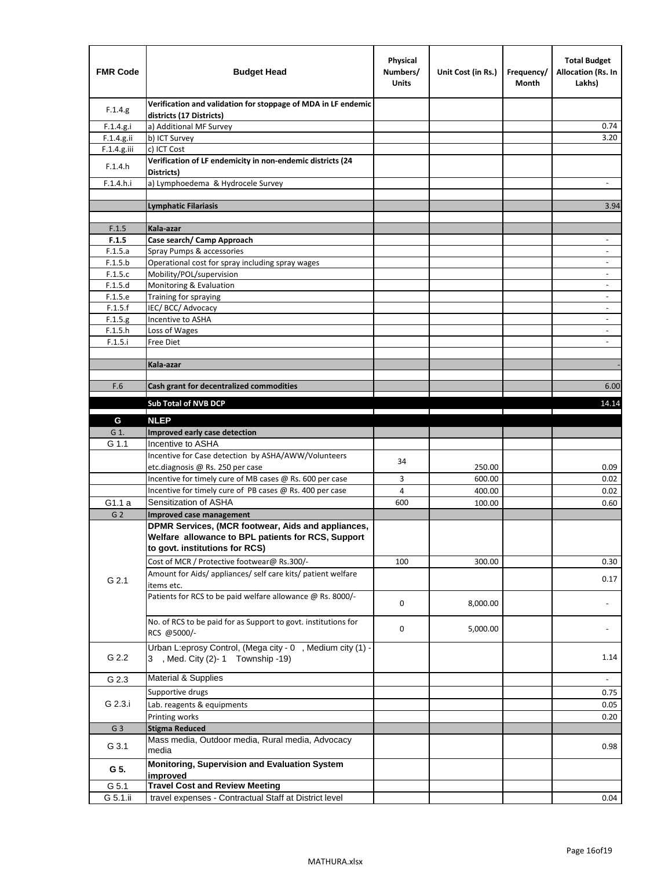| <b>FMR Code</b> | <b>Budget Head</b>                                                                                                                         | Physical<br>Numbers/<br><b>Units</b> | Unit Cost (in Rs.) | Frequency/<br>Month | <b>Total Budget</b><br>Allocation (Rs. In<br>Lakhs) |
|-----------------|--------------------------------------------------------------------------------------------------------------------------------------------|--------------------------------------|--------------------|---------------------|-----------------------------------------------------|
| F.1.4.g.        | Verification and validation for stoppage of MDA in LF endemic<br>districts (17 Districts)                                                  |                                      |                    |                     |                                                     |
| F.1.4.g.i       | a) Additional MF Survey                                                                                                                    |                                      |                    |                     | 0.74                                                |
| F.1.4.g.ii      | b) ICT Survey                                                                                                                              |                                      |                    |                     | 3.20                                                |
| $F.1.4.g.$ iii  | c) ICT Cost                                                                                                                                |                                      |                    |                     |                                                     |
| F.1.4.h         | Verification of LF endemicity in non-endemic districts (24<br>Districts)                                                                   |                                      |                    |                     |                                                     |
| F.1.4.h.i       | a) Lymphoedema & Hydrocele Survey                                                                                                          |                                      |                    |                     |                                                     |
|                 | <b>Lymphatic Filariasis</b>                                                                                                                |                                      |                    |                     | 3.94                                                |
|                 |                                                                                                                                            |                                      |                    |                     |                                                     |
| F.1.5           | Kala-azar                                                                                                                                  |                                      |                    |                     |                                                     |
| F.1.5           | Case search/ Camp Approach                                                                                                                 |                                      |                    |                     | $\overline{\phantom{a}}$                            |
| F.1.5.a         | Spray Pumps & accessories                                                                                                                  |                                      |                    |                     | $\overline{\phantom{a}}$                            |
| F.1.5.b         | Operational cost for spray including spray wages                                                                                           |                                      |                    |                     |                                                     |
| F.1.5.c         | Mobility/POL/supervision                                                                                                                   |                                      |                    |                     | $\blacksquare$                                      |
| F.1.5.d         | Monitoring & Evaluation                                                                                                                    |                                      |                    |                     |                                                     |
| F.1.5.e         | Training for spraying                                                                                                                      |                                      |                    |                     | $\overline{\phantom{a}}$                            |
| F.1.5.f         | IEC/BCC/Advocacy                                                                                                                           |                                      |                    |                     |                                                     |
| F.1.5.g         | Incentive to ASHA                                                                                                                          |                                      |                    |                     | $\overline{\phantom{a}}$                            |
| F.1.5.h         | Loss of Wages                                                                                                                              |                                      |                    |                     | $\overline{\phantom{a}}$                            |
| F.1.5.i         | Free Diet                                                                                                                                  |                                      |                    |                     |                                                     |
|                 | Kala-azar                                                                                                                                  |                                      |                    |                     |                                                     |
|                 |                                                                                                                                            |                                      |                    |                     |                                                     |
| F.6             | Cash grant for decentralized commodities                                                                                                   |                                      |                    |                     | 6.00                                                |
|                 |                                                                                                                                            |                                      |                    |                     |                                                     |
|                 | <b>Sub Total of NVB DCP</b>                                                                                                                |                                      |                    |                     | 14.14                                               |
| G               | <b>NLEP</b>                                                                                                                                |                                      |                    |                     |                                                     |
| G 1.            | Improved early case detection                                                                                                              |                                      |                    |                     |                                                     |
| G 1.1           | Incentive to ASHA                                                                                                                          |                                      |                    |                     |                                                     |
|                 | Incentive for Case detection by ASHA/AWW/Volunteers                                                                                        | 34                                   |                    |                     |                                                     |
|                 | etc.diagnosis @ Rs. 250 per case                                                                                                           |                                      | 250.00             |                     | 0.09                                                |
|                 | Incentive for timely cure of MB cases @ Rs. 600 per case                                                                                   | 3                                    | 600.00             |                     | 0.02                                                |
|                 | Incentive for timely cure of PB cases @ Rs. 400 per case                                                                                   | 4                                    | 400.00             |                     | 0.02                                                |
| G1.1 a          | Sensitization of ASHA                                                                                                                      | 600                                  | 100.00             |                     | 0.60                                                |
| G <sub>2</sub>  | Improved case management                                                                                                                   |                                      |                    |                     |                                                     |
|                 | DPMR Services, (MCR footwear, Aids and appliances,<br>Welfare allowance to BPL patients for RCS, Support<br>to govt. institutions for RCS) |                                      |                    |                     |                                                     |
|                 | Cost of MCR / Protective footwear@ Rs.300/-                                                                                                | 100                                  | 300.00             |                     | 0.30                                                |
| G 2.1           | Amount for Aids/ appliances/ self care kits/ patient welfare<br>items etc.                                                                 |                                      |                    |                     | 0.17                                                |
|                 | Patients for RCS to be paid welfare allowance @ Rs. 8000/-                                                                                 | 0                                    | 8,000.00           |                     |                                                     |
|                 | No. of RCS to be paid for as Support to govt. institutions for<br>RCS @5000/-                                                              | 0                                    | 5,000.00           |                     |                                                     |
| G 2.2           | Urban L:eprosy Control, (Mega city - 0, Medium city (1) -<br>3 , Med. City (2)-1 Township -19)                                             |                                      |                    |                     | 1.14                                                |
| G 2.3           | <b>Material &amp; Supplies</b>                                                                                                             |                                      |                    |                     | $\overline{\phantom{a}}$                            |
|                 | Supportive drugs                                                                                                                           |                                      |                    |                     | 0.75                                                |
| G 2.3.i         | Lab. reagents & equipments                                                                                                                 |                                      |                    |                     | 0.05                                                |
|                 | Printing works                                                                                                                             |                                      |                    |                     | 0.20                                                |
| G <sub>3</sub>  | <b>Stigma Reduced</b>                                                                                                                      |                                      |                    |                     |                                                     |
|                 | Mass media, Outdoor media, Rural media, Advocacy                                                                                           |                                      |                    |                     |                                                     |
| G 3.1           | media<br>Monitoring, Supervision and Evaluation System                                                                                     |                                      |                    |                     | 0.98                                                |
| G 5.            | improved                                                                                                                                   |                                      |                    |                     |                                                     |
| G 5.1           | <b>Travel Cost and Review Meeting</b>                                                                                                      |                                      |                    |                     |                                                     |
| G 5.1.ii        | travel expenses - Contractual Staff at District level                                                                                      |                                      |                    |                     | 0.04                                                |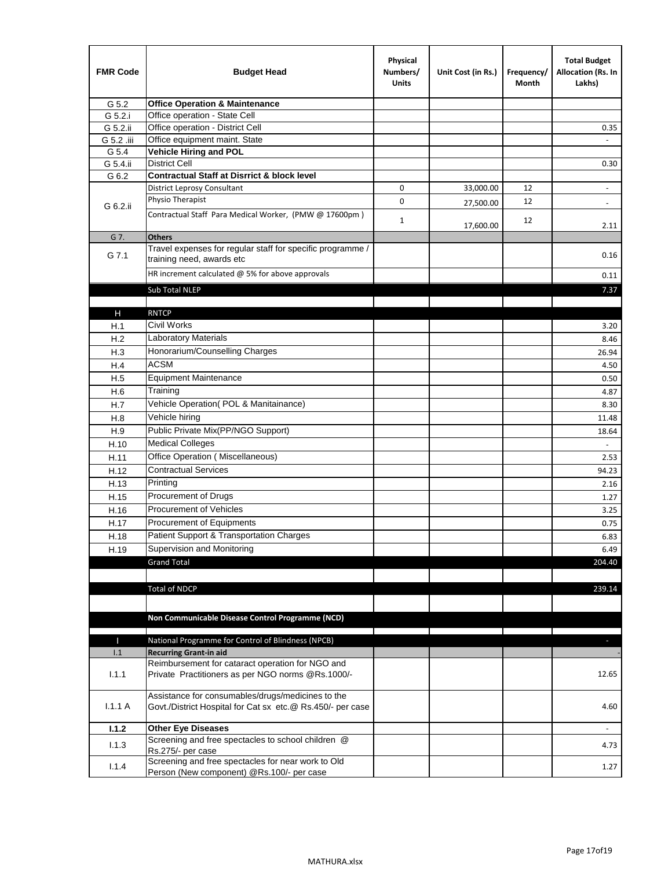| <b>FMR Code</b> | <b>Budget Head</b>                                                                                              | Physical<br>Numbers/<br><b>Units</b> | Unit Cost (in Rs.) | Frequency/<br>Month | <b>Total Budget</b><br>Allocation (Rs. In<br>Lakhs) |
|-----------------|-----------------------------------------------------------------------------------------------------------------|--------------------------------------|--------------------|---------------------|-----------------------------------------------------|
| G 5.2           | <b>Office Operation &amp; Maintenance</b>                                                                       |                                      |                    |                     |                                                     |
| G 5.2.i         | Office operation - State Cell                                                                                   |                                      |                    |                     |                                                     |
| G 5.2.ii        | Office operation - District Cell                                                                                |                                      |                    |                     | 0.35                                                |
| G 5.2 .iii      | Office equipment maint. State                                                                                   |                                      |                    |                     |                                                     |
| G 5.4           | <b>Vehicle Hiring and POL</b>                                                                                   |                                      |                    |                     |                                                     |
| G 5.4.ii        | <b>District Cell</b>                                                                                            |                                      |                    |                     | 0.30                                                |
| G 6.2           | <b>Contractual Staff at Disrrict &amp; block level</b>                                                          |                                      |                    |                     |                                                     |
|                 | <b>District Leprosy Consultant</b>                                                                              | 0                                    | 33,000.00          | 12                  |                                                     |
| G 6.2.ii        | Physio Therapist                                                                                                | 0                                    | 27,500.00          | 12                  | $\overline{\phantom{a}}$                            |
|                 | Contractual Staff Para Medical Worker, (PMW @ 17600pm)                                                          | $\mathbf{1}$                         | 17,600.00          | 12                  | 2.11                                                |
| G 7.            | <b>Others</b>                                                                                                   |                                      |                    |                     |                                                     |
| G 7.1           | Travel expenses for regular staff for specific programme /<br>training need, awards etc                         |                                      |                    |                     | 0.16                                                |
|                 | HR increment calculated $@$ 5% for above approvals                                                              |                                      |                    |                     | 0.11                                                |
|                 | Sub Total NLEP                                                                                                  |                                      |                    |                     | 7.37                                                |
|                 |                                                                                                                 |                                      |                    |                     |                                                     |
| Н               | <b>RNTCP</b>                                                                                                    |                                      |                    |                     |                                                     |
| H.1             | Civil Works                                                                                                     |                                      |                    |                     | 3.20                                                |
| H.2             | Laboratory Materials                                                                                            |                                      |                    |                     | 8.46                                                |
| H.3             | Honorarium/Counselling Charges                                                                                  |                                      |                    |                     | 26.94                                               |
| H.4             | <b>ACSM</b>                                                                                                     |                                      |                    |                     | 4.50                                                |
| H.5             | <b>Equipment Maintenance</b>                                                                                    |                                      |                    |                     | 0.50                                                |
| H.6             | Training                                                                                                        |                                      |                    |                     | 4.87                                                |
| H.7             | Vehicle Operation(POL & Manitainance)                                                                           |                                      |                    |                     | 8.30                                                |
| H.8             | Vehicle hiring                                                                                                  |                                      |                    |                     | 11.48                                               |
| H.9             | Public Private Mix(PP/NGO Support)                                                                              |                                      |                    |                     | 18.64                                               |
| H.10            | <b>Medical Colleges</b>                                                                                         |                                      |                    |                     | $\sim$                                              |
| H.11            | Office Operation (Miscellaneous)                                                                                |                                      |                    |                     | 2.53                                                |
| H.12            | <b>Contractual Services</b>                                                                                     |                                      |                    |                     | 94.23                                               |
| H.13            | Printing                                                                                                        |                                      |                    |                     | 2.16                                                |
| H.15            | Procurement of Drugs                                                                                            |                                      |                    |                     | 1.27                                                |
| H.16            | Procurement of Vehicles                                                                                         |                                      |                    |                     | 3.25                                                |
| H.17            | Procurement of Equipments                                                                                       |                                      |                    |                     | 0.75                                                |
| H.18            | Patient Support & Transportation Charges                                                                        |                                      |                    |                     | 6.83                                                |
| H.19            | Supervision and Monitoring                                                                                      |                                      |                    |                     | 6.49                                                |
|                 | <b>Grand Total</b>                                                                                              |                                      |                    |                     | 204.40                                              |
|                 |                                                                                                                 |                                      |                    |                     |                                                     |
|                 | <b>Total of NDCP</b>                                                                                            |                                      |                    |                     | 239.14                                              |
|                 |                                                                                                                 |                                      |                    |                     |                                                     |
|                 | Non Communicable Disease Control Programme (NCD)                                                                |                                      |                    |                     |                                                     |
|                 |                                                                                                                 |                                      |                    |                     |                                                     |
| Т               | National Programme for Control of Blindness (NPCB)                                                              |                                      |                    |                     | ÷.                                                  |
| 1.1             | <b>Recurring Grant-in aid</b>                                                                                   |                                      |                    |                     |                                                     |
| 1.1.1           | Reimbursement for cataract operation for NGO and<br>Private Practitioners as per NGO norms @Rs.1000/-           |                                      |                    |                     | 12.65                                               |
| 1.1.1A          | Assistance for consumables/drugs/medicines to the<br>Govt./District Hospital for Cat sx etc.@ Rs.450/- per case |                                      |                    |                     | 4.60                                                |
| 1.1.2           | <b>Other Eye Diseases</b>                                                                                       |                                      |                    |                     |                                                     |
|                 | Screening and free spectacles to school children @                                                              |                                      |                    |                     |                                                     |
| 1.1.3           | Rs.275/- per case                                                                                               |                                      |                    |                     | 4.73                                                |
| 1.1.4           | Screening and free spectacles for near work to Old                                                              |                                      |                    |                     | 1.27                                                |
|                 | Person (New component) @Rs.100/- per case                                                                       |                                      |                    |                     |                                                     |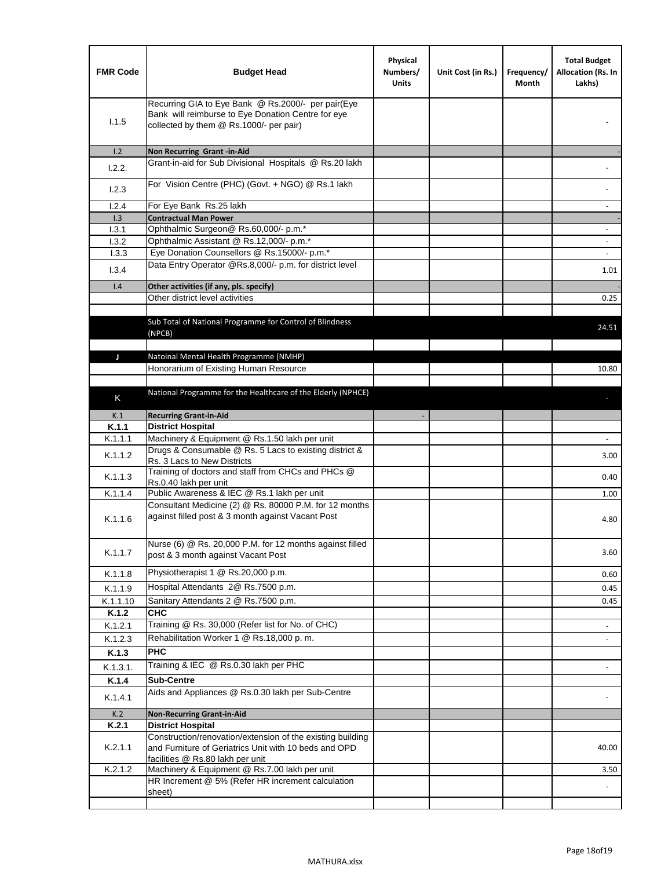| <b>FMR Code</b> | <b>Budget Head</b>                                                                                                                                      | Physical<br>Numbers/<br><b>Units</b> | Unit Cost (in Rs.) | Frequency/<br>Month | <b>Total Budget</b><br>Allocation (Rs. In<br>Lakhs) |
|-----------------|---------------------------------------------------------------------------------------------------------------------------------------------------------|--------------------------------------|--------------------|---------------------|-----------------------------------------------------|
| 1.1.5           | Recurring GIA to Eye Bank @ Rs.2000/- per pair(Eye<br>Bank will reimburse to Eye Donation Centre for eye<br>collected by them @ Rs.1000/- per pair)     |                                      |                    |                     |                                                     |
| 1.2             | Non Recurring Grant -in-Aid                                                                                                                             |                                      |                    |                     |                                                     |
| 1.2.2.          | Grant-in-aid for Sub Divisional Hospitals @ Rs.20 lakh                                                                                                  |                                      |                    |                     |                                                     |
| 1.2.3           | For Vision Centre (PHC) (Govt. + NGO) @ Rs.1 lakh                                                                                                       |                                      |                    |                     |                                                     |
| 1.2.4           | For Eye Bank Rs.25 lakh                                                                                                                                 |                                      |                    |                     | $\overline{\phantom{a}}$                            |
| 1.3             | <b>Contractual Man Power</b>                                                                                                                            |                                      |                    |                     |                                                     |
| 1.3.1           | Ophthalmic Surgeon@ Rs.60,000/- p.m.*                                                                                                                   |                                      |                    |                     | $\sim$                                              |
| 1.3.2<br>1.3.3  | Ophthalmic Assistant @ Rs.12,000/- p.m.*<br>Eye Donation Counsellors @ Rs.15000/- p.m.*                                                                 |                                      |                    |                     | $\sim$                                              |
|                 | Data Entry Operator @Rs.8,000/- p.m. for district level                                                                                                 |                                      |                    |                     |                                                     |
| 1.3.4           |                                                                                                                                                         |                                      |                    |                     | 1.01                                                |
| 1.4             | Other activities (if any, pls. specify)                                                                                                                 |                                      |                    |                     |                                                     |
|                 | Other district level activities                                                                                                                         |                                      |                    |                     | 0.25                                                |
|                 | Sub Total of National Programme for Control of Blindness<br>(NPCB)                                                                                      |                                      |                    |                     | 24.51                                               |
| J               | Natoinal Mental Health Programme (NMHP)                                                                                                                 |                                      |                    |                     |                                                     |
|                 | Honorarium of Existing Human Resource                                                                                                                   |                                      |                    |                     | 10.80                                               |
|                 |                                                                                                                                                         |                                      |                    |                     |                                                     |
| K               | National Programme for the Healthcare of the Elderly (NPHCE)                                                                                            |                                      |                    |                     |                                                     |
|                 |                                                                                                                                                         |                                      |                    |                     |                                                     |
| K.1<br>K.1.1    | <b>Recurring Grant-in-Aid</b>                                                                                                                           |                                      |                    |                     |                                                     |
| K.1.1.1         | <b>District Hospital</b><br>Machinery & Equipment @ Rs.1.50 lakh per unit                                                                               |                                      |                    |                     |                                                     |
| K.1.1.2         | Drugs & Consumable @ Rs. 5 Lacs to existing district &                                                                                                  |                                      |                    |                     | 3.00                                                |
|                 | Rs. 3 Lacs to New Districts<br>Training of doctors and staff from CHCs and PHCs @                                                                       |                                      |                    |                     |                                                     |
| K.1.1.3         | Rs.0.40 lakh per unit                                                                                                                                   |                                      |                    |                     | 0.40                                                |
| K.1.1.4         | Public Awareness & IEC @ Rs.1 lakh per unit                                                                                                             |                                      |                    |                     | 1.00                                                |
| K.1.1.6         | Consultant Medicine (2) @ Rs. 80000 P.M. for 12 months<br>against filled post & 3 month against Vacant Post                                             |                                      |                    |                     | 4.80                                                |
| K.1.1.7         | Nurse (6) @ Rs. 20,000 P.M. for 12 months against filled<br>post & 3 month against Vacant Post                                                          |                                      |                    |                     | 3.60                                                |
| K.1.1.8         | Physiotherapist 1 @ Rs.20,000 p.m.                                                                                                                      |                                      |                    |                     | 0.60                                                |
| K.1.1.9         | Hospital Attendants 2@ Rs.7500 p.m.                                                                                                                     |                                      |                    |                     | 0.45                                                |
| K.1.1.10        | Sanitary Attendants 2 @ Rs.7500 p.m.                                                                                                                    |                                      |                    |                     | 0.45                                                |
| K.1.2           | <b>CHC</b>                                                                                                                                              |                                      |                    |                     |                                                     |
| K.1.2.1         | Training @ Rs. 30,000 (Refer list for No. of CHC)                                                                                                       |                                      |                    |                     |                                                     |
| K.1.2.3         | Rehabilitation Worker 1 @ Rs.18,000 p. m.                                                                                                               |                                      |                    |                     |                                                     |
| K.1.3           | <b>PHC</b>                                                                                                                                              |                                      |                    |                     |                                                     |
| K.1.3.1.        | Training & IEC @ Rs.0.30 lakh per PHC                                                                                                                   |                                      |                    |                     |                                                     |
| K.1.4           | <b>Sub-Centre</b>                                                                                                                                       |                                      |                    |                     |                                                     |
| K.1.4.1         | Aids and Appliances @ Rs.0.30 lakh per Sub-Centre                                                                                                       |                                      |                    |                     |                                                     |
| K.2             | <b>Non-Recurring Grant-in-Aid</b>                                                                                                                       |                                      |                    |                     |                                                     |
| K.2.1           | <b>District Hospital</b>                                                                                                                                |                                      |                    |                     |                                                     |
| K.2.1.1         | Construction/renovation/extension of the existing building<br>and Furniture of Geriatrics Unit with 10 beds and OPD<br>facilities @ Rs.80 lakh per unit |                                      |                    |                     | 40.00                                               |
| K.2.1.2         | Machinery & Equipment @ Rs.7.00 lakh per unit                                                                                                           |                                      |                    |                     | 3.50                                                |
|                 | HR Increment @ 5% (Refer HR increment calculation                                                                                                       |                                      |                    |                     |                                                     |
|                 | sheet)                                                                                                                                                  |                                      |                    |                     |                                                     |